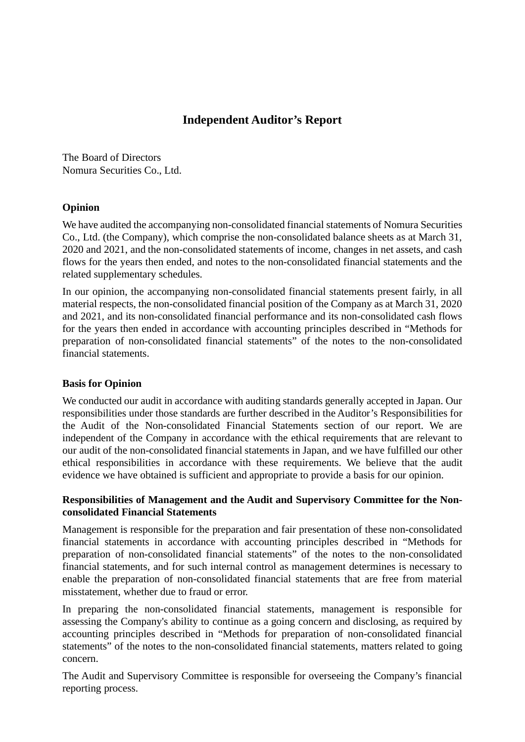# **Independent Auditor's Report**

The Board of Directors Nomura Securities Co., Ltd.

# **Opinion**

We have audited the accompanying non-consolidated financial statements of Nomura Securities Co., Ltd. (the Company), which comprise the non-consolidated balance sheets as at March 31, 2020 and 2021, and the non-consolidated statements of income, changes in net assets, and cash flows for the years then ended, and notes to the non-consolidated financial statements and the related supplementary schedules.

In our opinion, the accompanying non-consolidated financial statements present fairly, in all material respects, the non-consolidated financial position of the Company as at March 31, 2020 and 2021, and its non-consolidated financial performance and its non-consolidated cash flows for the years then ended in accordance with accounting principles described in "Methods for preparation of non-consolidated financial statements" of the notes to the non-consolidated financial statements.

# **Basis for Opinion**

We conducted our audit in accordance with auditing standards generally accepted in Japan. Our responsibilities under those standards are further described in the Auditor's Responsibilities for the Audit of the Non-consolidated Financial Statements section of our report. We are independent of the Company in accordance with the ethical requirements that are relevant to our audit of the non-consolidated financial statements in Japan, and we have fulfilled our other ethical responsibilities in accordance with these requirements. We believe that the audit evidence we have obtained is sufficient and appropriate to provide a basis for our opinion.

# **Responsibilities of Management and the Audit and Supervisory Committee for the Nonconsolidated Financial Statements**

Management is responsible for the preparation and fair presentation of these non-consolidated financial statements in accordance with accounting principles described in "Methods for preparation of non-consolidated financial statements" of the notes to the non-consolidated financial statements, and for such internal control as management determines is necessary to enable the preparation of non-consolidated financial statements that are free from material misstatement, whether due to fraud or error.

In preparing the non-consolidated financial statements, management is responsible for assessing the Company's ability to continue as a going concern and disclosing, as required by accounting principles described in "Methods for preparation of non-consolidated financial statements" of the notes to the non-consolidated financial statements, matters related to going concern.

The Audit and Supervisory Committee is responsible for overseeing the Company's financial reporting process.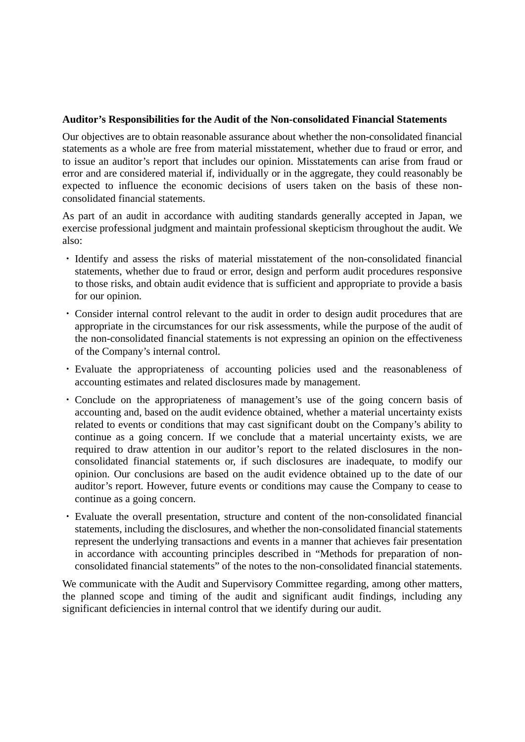# **Auditor's Responsibilities for the Audit of the Non-consolidated Financial Statements**

Our objectives are to obtain reasonable assurance about whether the non-consolidated financial statements as a whole are free from material misstatement, whether due to fraud or error, and to issue an auditor's report that includes our opinion. Misstatements can arise from fraud or error and are considered material if, individually or in the aggregate, they could reasonably be expected to influence the economic decisions of users taken on the basis of these nonconsolidated financial statements.

As part of an audit in accordance with auditing standards generally accepted in Japan, we exercise professional judgment and maintain professional skepticism throughout the audit. We also:

- ・ Identify and assess the risks of material misstatement of the non-consolidated financial statements, whether due to fraud or error, design and perform audit procedures responsive to those risks, and obtain audit evidence that is sufficient and appropriate to provide a basis for our opinion.
- ・ Consider internal control relevant to the audit in order to design audit procedures that are appropriate in the circumstances for our risk assessments, while the purpose of the audit of the non-consolidated financial statements is not expressing an opinion on the effectiveness of the Company's internal control.
- ・ Evaluate the appropriateness of accounting policies used and the reasonableness of accounting estimates and related disclosures made by management.
- ・ Conclude on the appropriateness of management's use of the going concern basis of accounting and, based on the audit evidence obtained, whether a material uncertainty exists related to events or conditions that may cast significant doubt on the Company's ability to continue as a going concern. If we conclude that a material uncertainty exists, we are required to draw attention in our auditor's report to the related disclosures in the nonconsolidated financial statements or, if such disclosures are inadequate, to modify our opinion. Our conclusions are based on the audit evidence obtained up to the date of our auditor's report. However, future events or conditions may cause the Company to cease to continue as a going concern.
- ・ Evaluate the overall presentation, structure and content of the non-consolidated financial statements, including the disclosures, and whether the non-consolidated financial statements represent the underlying transactions and events in a manner that achieves fair presentation in accordance with accounting principles described in "Methods for preparation of nonconsolidated financial statements" of the notes to the non-consolidated financial statements.

We communicate with the Audit and Supervisory Committee regarding, among other matters, the planned scope and timing of the audit and significant audit findings, including any significant deficiencies in internal control that we identify during our audit.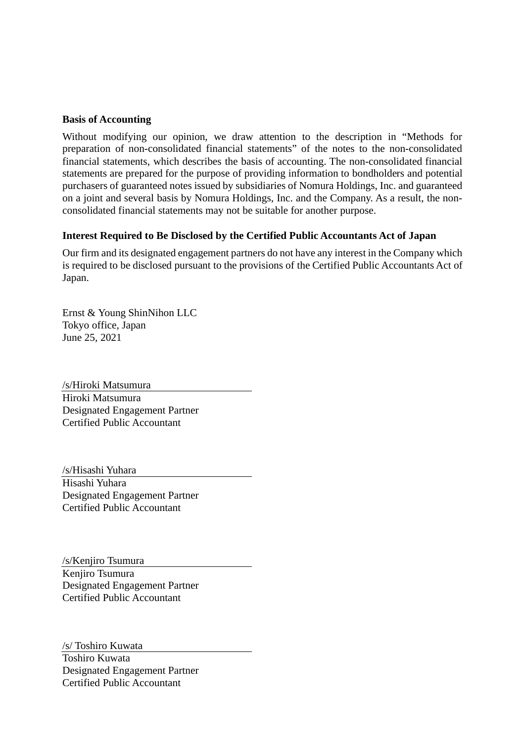# **Basis of Accounting**

Without modifying our opinion, we draw attention to the description in "Methods for preparation of non-consolidated financial statements" of the notes to the non-consolidated financial statements, which describes the basis of accounting. The non-consolidated financial statements are prepared for the purpose of providing information to bondholders and potential purchasers of guaranteed notes issued by subsidiaries of Nomura Holdings, Inc. and guaranteed on a joint and several basis by Nomura Holdings, Inc. and the Company. As a result, the nonconsolidated financial statements may not be suitable for another purpose.

# **Interest Required to Be Disclosed by the Certified Public Accountants Act of Japan**

Our firm and its designated engagement partners do not have any interest in the Company which is required to be disclosed pursuant to the provisions of the Certified Public Accountants Act of Japan.

Ernst & Young ShinNihon LLC Tokyo office, Japan June 25, 2021

/s/Hiroki Matsumura Hiroki Matsumura Designated Engagement Partner Certified Public Accountant

/s/Hisashi Yuhara Hisashi Yuhara Designated Engagement Partner Certified Public Accountant

/s/Kenjiro Tsumura Kenjiro Tsumura Designated Engagement Partner Certified Public Accountant

/s/ Toshiro Kuwata

Toshiro Kuwata Designated Engagement Partner Certified Public Accountant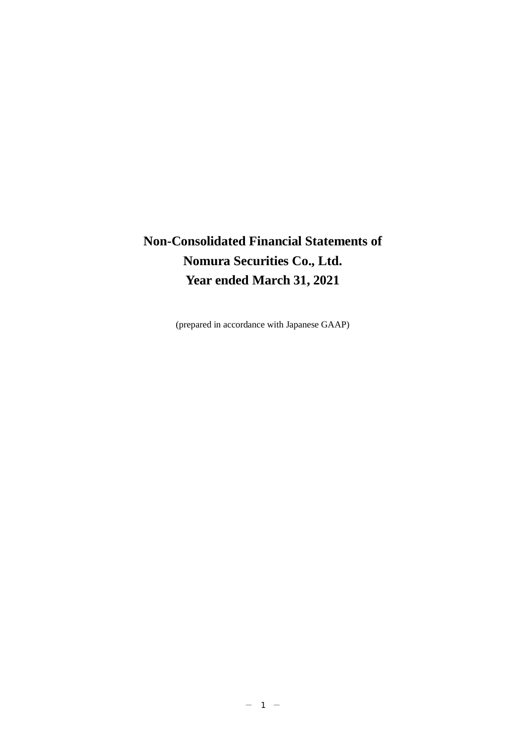# **Non-Consolidated Financial Statements of Nomura Securities Co., Ltd. Year ended March 31, 2021**

(prepared in accordance with Japanese GAAP)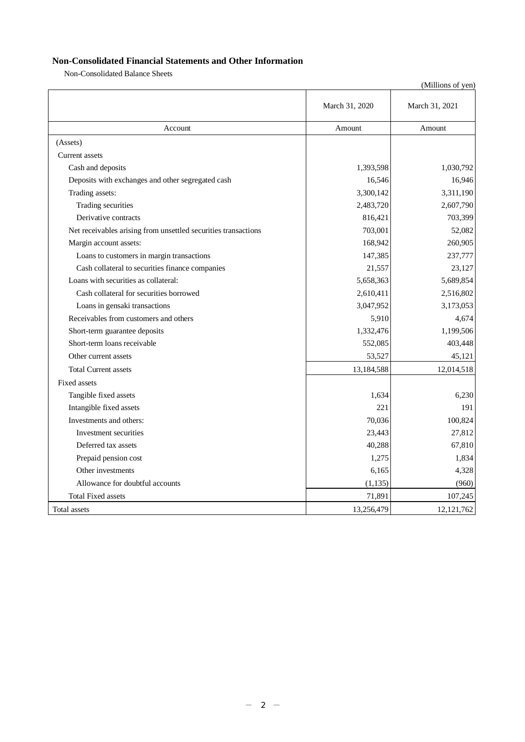# **Non-Consolidated Financial Statements and Other Information**

Non-Consolidated Balance Sheets

|                                                                |                | (Millions of yen) |
|----------------------------------------------------------------|----------------|-------------------|
|                                                                | March 31, 2020 | March 31, 2021    |
| Account                                                        | Amount         | Amount            |
| (Assets)                                                       |                |                   |
| Current assets                                                 |                |                   |
| Cash and deposits                                              | 1,393,598      | 1,030,792         |
| Deposits with exchanges and other segregated cash              | 16,546         | 16,946            |
| Trading assets:                                                | 3,300,142      | 3,311,190         |
| Trading securities                                             | 2,483,720      | 2,607,790         |
| Derivative contracts                                           | 816,421        | 703,399           |
| Net receivables arising from unsettled securities transactions | 703,001        | 52,082            |
| Margin account assets:                                         | 168,942        | 260,905           |
| Loans to customers in margin transactions                      | 147,385        | 237,777           |
| Cash collateral to securities finance companies                | 21,557         | 23,127            |
| Loans with securities as collateral:                           | 5,658,363      | 5,689,854         |
| Cash collateral for securities borrowed                        | 2,610,411      | 2,516,802         |
| Loans in gensaki transactions                                  | 3,047,952      | 3,173,053         |
| Receivables from customers and others                          | 5,910          | 4,674             |
| Short-term guarantee deposits                                  | 1,332,476      | 1,199,506         |
| Short-term loans receivable                                    | 552,085        | 403,448           |
| Other current assets                                           | 53,527         | 45,121            |
| <b>Total Current assets</b>                                    | 13,184,588     | 12,014,518        |
| Fixed assets                                                   |                |                   |
| Tangible fixed assets                                          | 1,634          | 6,230             |
| Intangible fixed assets                                        | 221            | 191               |
| Investments and others:                                        | 70,036         | 100,824           |
| Investment securities                                          | 23,443         | 27,812            |
| Deferred tax assets                                            | 40,288         | 67,810            |
| Prepaid pension cost                                           | 1,275          | 1,834             |
| Other investments                                              | 6,165          | 4,328             |
| Allowance for doubtful accounts                                | (1, 135)       | (960)             |
| <b>Total Fixed assets</b>                                      | 71,891         | 107,245           |
| Total assets                                                   | 13,256,479     | 12, 121, 762      |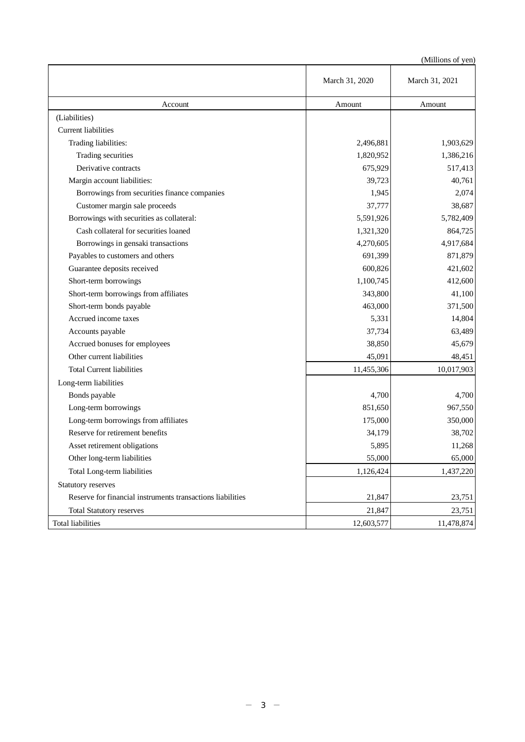|                                                            | March 31, 2020 | March 31, 2021 |
|------------------------------------------------------------|----------------|----------------|
| Account                                                    | Amount         | Amount         |
| (Liabilities)                                              |                |                |
| <b>Current liabilities</b>                                 |                |                |
| Trading liabilities:                                       | 2,496,881      | 1,903,629      |
| Trading securities                                         | 1,820,952      | 1,386,216      |
| Derivative contracts                                       | 675,929        | 517,413        |
| Margin account liabilities:                                | 39,723         | 40,761         |
| Borrowings from securities finance companies               | 1,945          | 2,074          |
| Customer margin sale proceeds                              | 37,777         | 38,687         |
| Borrowings with securities as collateral:                  | 5,591,926      | 5,782,409      |
| Cash collateral for securities loaned                      | 1,321,320      | 864,725        |
| Borrowings in gensaki transactions                         | 4,270,605      | 4,917,684      |
| Payables to customers and others                           | 691,399        | 871,879        |
| Guarantee deposits received                                | 600,826        | 421,602        |
| Short-term borrowings                                      | 1,100,745      | 412,600        |
| Short-term borrowings from affiliates                      | 343,800        | 41,100         |
| Short-term bonds payable                                   | 463,000        | 371,500        |
| Accrued income taxes                                       | 5,331          | 14,804         |
| Accounts payable                                           | 37,734         | 63,489         |
| Accrued bonuses for employees                              | 38,850         | 45,679         |
| Other current liabilities                                  | 45,091         | 48,451         |
| <b>Total Current liabilities</b>                           | 11,455,306     | 10,017,903     |
| Long-term liabilities                                      |                |                |
| Bonds payable                                              | 4,700          | 4,700          |
| Long-term borrowings                                       | 851,650        | 967,550        |
| Long-term borrowings from affiliates                       | 175,000        | 350,000        |
| Reserve for retirement benefits                            | 34,179         | 38,702         |
| Asset retirement obligations                               | 5,895          | 11,268         |
| Other long-term liabilities                                | 55,000         | 65,000         |
| Total Long-term liabilities                                | 1,126,424      | 1,437,220      |
| Statutory reserves                                         |                |                |
| Reserve for financial instruments transactions liabilities | 21,847         | 23,751         |
| <b>Total Statutory reserves</b>                            | 21,847         | 23,751         |
| <b>Total liabilities</b>                                   | 12,603,577     | 11,478,874     |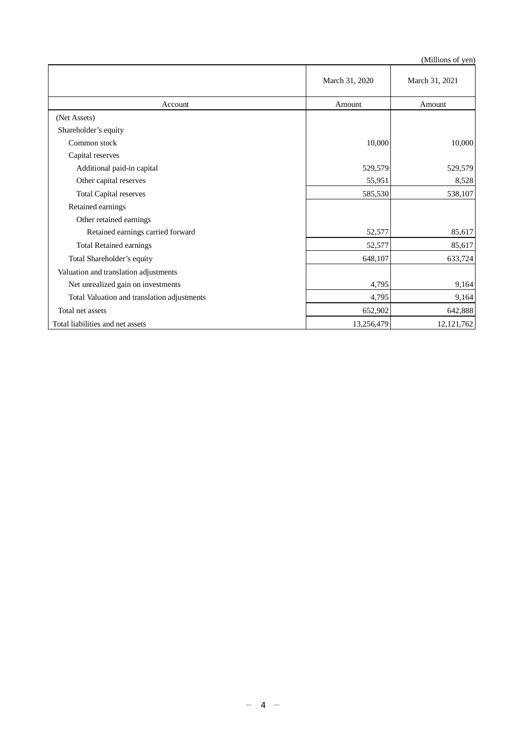|                                             | March 31, 2020 | March 31, 2021 |
|---------------------------------------------|----------------|----------------|
| Account                                     | Amount         | Amount         |
| (Net Assets)                                |                |                |
| Shareholder's equity                        |                |                |
| Common stock                                | 10,000         | 10,000         |
| Capital reserves                            |                |                |
| Additional paid-in capital                  | 529,579        | 529,579        |
| Other capital reserves                      | 55,951         | 8,528          |
| <b>Total Capital reserves</b>               | 585,530        | 538,107        |
| Retained earnings                           |                |                |
| Other retained earnings                     |                |                |
| Retained earnings carried forward           | 52,577         | 85,617         |
| <b>Total Retained earnings</b>              | 52,577         | 85,617         |
| Total Shareholder's equity                  | 648,107        | 633,724        |
| Valuation and translation adjustments       |                |                |
| Net unrealized gain on investments          | 4,795          | 9,164          |
| Total Valuation and translation adjustments | 4,795          | 9,164          |
| Total net assets                            | 652,902        | 642,888        |
| Total liabilities and net assets            | 13,256,479     | 12, 121, 762   |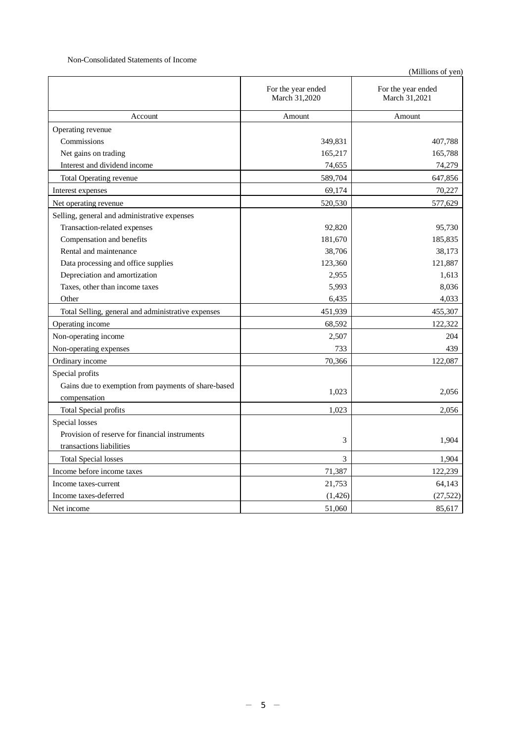#### Non-Consolidated Statements of Income

|                                                     | For the year ended<br>March 31,2020 | For the year ended<br>March 31,2021 |
|-----------------------------------------------------|-------------------------------------|-------------------------------------|
| Account                                             | Amount                              | Amount                              |
| Operating revenue                                   |                                     |                                     |
| Commissions                                         | 349,831                             | 407,788                             |
| Net gains on trading                                | 165,217                             | 165,788                             |
| Interest and dividend income                        | 74,655                              | 74,279                              |
| Total Operating revenue                             | 589,704                             | 647,856                             |
| Interest expenses                                   | 69,174                              | 70,227                              |
| Net operating revenue                               | 520,530                             | 577,629                             |
| Selling, general and administrative expenses        |                                     |                                     |
| Transaction-related expenses                        | 92,820                              | 95,730                              |
| Compensation and benefits                           | 181,670                             | 185,835                             |
| Rental and maintenance                              | 38,706                              | 38,173                              |
| Data processing and office supplies                 | 123,360                             | 121,887                             |
| Depreciation and amortization                       | 2,955                               | 1,613                               |
| Taxes, other than income taxes                      | 5,993                               | 8,036                               |
| Other                                               | 6,435                               | 4,033                               |
| Total Selling, general and administrative expenses  | 451,939                             | 455,307                             |
| Operating income                                    | 68,592                              | 122,322                             |
| Non-operating income                                | 2,507                               | 204                                 |
| Non-operating expenses                              | 733                                 | 439                                 |
| Ordinary income                                     | 70,366                              | 122,087                             |
| Special profits                                     |                                     |                                     |
| Gains due to exemption from payments of share-based | 1,023                               |                                     |
| compensation                                        |                                     | 2,056                               |
| <b>Total Special profits</b>                        | 1,023                               | 2,056                               |
| Special losses                                      |                                     |                                     |
| Provision of reserve for financial instruments      | 3                                   | 1,904                               |
| transactions liabilities                            |                                     |                                     |
| <b>Total Special losses</b>                         | 3                                   | 1,904                               |
| Income before income taxes                          | 71,387                              | 122,239                             |
| Income taxes-current                                | 21,753                              | 64,143                              |
| Income taxes-deferred                               | (1, 426)                            | (27, 522)                           |
| Net income                                          | 51,060                              | 85,617                              |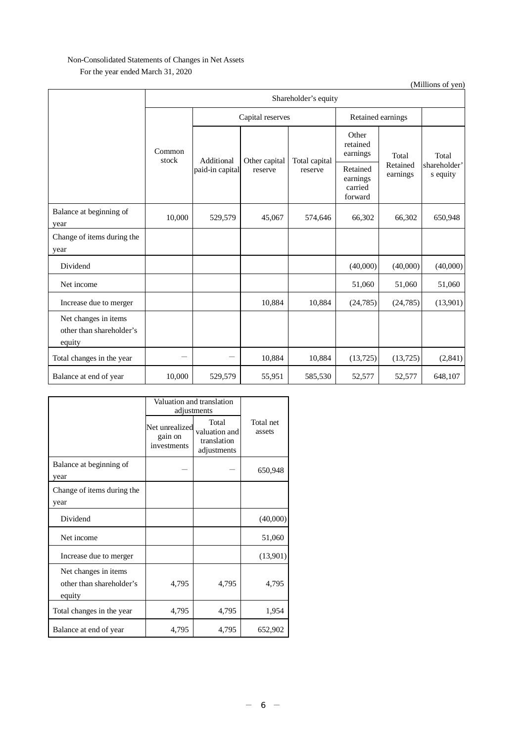# Non-Consolidated Statements of Changes in Net Assets For the year ended March 31, 2020

Shareholder's equity Common stock Capital reserves Retained earnings Additional paid-in capital Other capital reserve Total capital reserve Other retained earnings Total Retained Retained earnings sharehold Total shareholder' earnings carried forward Balance at beginning of year 10,000 529,579 45,067 574,646 66,302 66,302 650,948 Change of items during the year Dividend (40,000) (40,000) (40,000) (40,000) Net income 51,060 51,060 51,060 Increase due to merger 10,884 10,884 (24,785) (24,785) (13,901) Net changes in items other than shareholder's equity Total changes in the year  $10,884$   $10,884$   $(13,725)$   $(13,725)$   $(2,841)$ Balance at end of year 10,000 529,579 55,951 585,530 52,577 52,577 648,107

|                                                            | Valuation and translation<br>adjustments |                                                      |                     |
|------------------------------------------------------------|------------------------------------------|------------------------------------------------------|---------------------|
|                                                            | Net unrealized<br>gain on<br>investments | Total<br>valuation and<br>translation<br>adjustments | Total net<br>assets |
| Balance at beginning of<br>year                            |                                          |                                                      | 650,948             |
| Change of items during the<br>year                         |                                          |                                                      |                     |
| Dividend                                                   |                                          |                                                      | (40,000)            |
| Net income                                                 |                                          |                                                      | 51,060              |
| Increase due to merger                                     |                                          |                                                      | (13,901)            |
| Net changes in items<br>other than shareholder's<br>equity | 4,795                                    | 4,795                                                | 4,795               |
| Total changes in the year                                  | 4,795                                    | 4,795                                                | 1,954               |
| Balance at end of year                                     | 4,795                                    | 4,795                                                | 652,902             |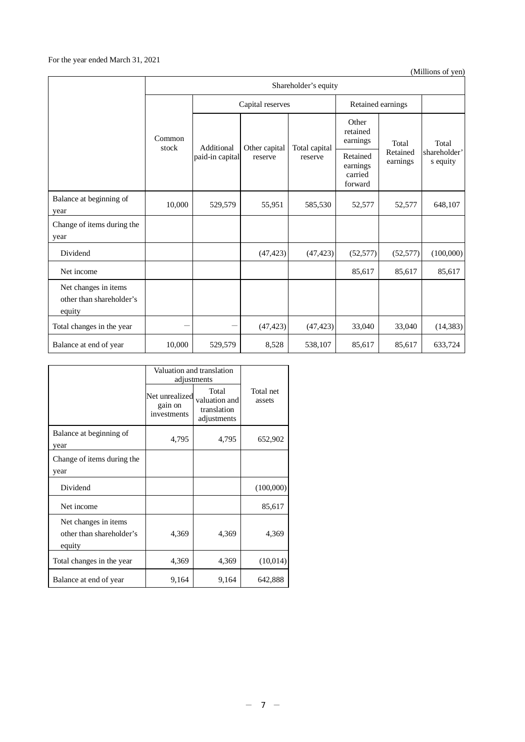# For the year ended March 31, 2021

|                                                            | Shareholder's equity |                  |               |                               |                                            |                      |                          |
|------------------------------------------------------------|----------------------|------------------|---------------|-------------------------------|--------------------------------------------|----------------------|--------------------------|
|                                                            |                      | Capital reserves |               | Retained earnings             |                                            |                      |                          |
| Common<br>stock                                            | Additional           | Other capital    | Total capital | Other<br>retained<br>earnings | Total                                      | Total                |                          |
|                                                            |                      | paid-in capital  | reserve       | reserve                       | Retained<br>earnings<br>carried<br>forward | Retained<br>earnings | shareholder'<br>s equity |
| Balance at beginning of<br>year                            | 10,000               | 529,579          | 55,951        | 585,530                       | 52,577                                     | 52,577               | 648,107                  |
| Change of items during the<br>year                         |                      |                  |               |                               |                                            |                      |                          |
| Dividend                                                   |                      |                  | (47, 423)     | (47, 423)                     | (52, 577)                                  | (52, 577)            | (100,000)                |
| Net income                                                 |                      |                  |               |                               | 85,617                                     | 85,617               | 85,617                   |
| Net changes in items<br>other than shareholder's<br>equity |                      |                  |               |                               |                                            |                      |                          |
| Total changes in the year                                  |                      |                  | (47, 423)     | (47, 423)                     | 33,040                                     | 33,040               | (14, 383)                |
| Balance at end of year                                     | 10,000               | 529,579          | 8,528         | 538,107                       | 85,617                                     | 85,617               | 633,724                  |

|                                                            | Valuation and translation<br>adjustments |                                                      |                     |
|------------------------------------------------------------|------------------------------------------|------------------------------------------------------|---------------------|
|                                                            | Net unrealized<br>gain on<br>investments | Total<br>valuation and<br>translation<br>adjustments | Total net<br>assets |
| Balance at beginning of<br>year                            | 4,795                                    | 4,795                                                | 652,902             |
| Change of items during the<br>year                         |                                          |                                                      |                     |
| Dividend                                                   |                                          |                                                      | (100,000)           |
| Net income                                                 |                                          |                                                      | 85,617              |
| Net changes in items<br>other than shareholder's<br>equity | 4,369                                    | 4,369                                                | 4,369               |
| Total changes in the year                                  | 4,369                                    | 4,369                                                | (10,014)            |
| Balance at end of year                                     | 9,164                                    | 9,164                                                | 642,888             |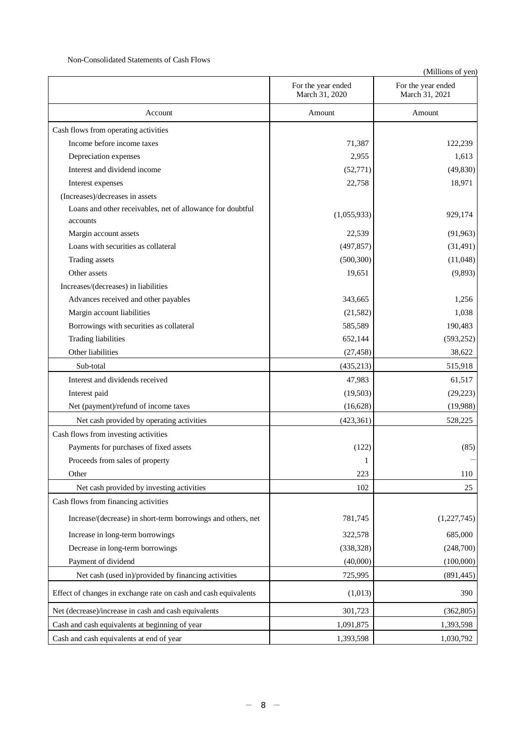### Non-Consolidated Statements of Cash Flows

|                                                                 | For the year ended<br>March 31, 2020 | For the year ended<br>March 31, 2021 |
|-----------------------------------------------------------------|--------------------------------------|--------------------------------------|
| Account                                                         | Amount                               | Amount                               |
| Cash flows from operating activities                            |                                      |                                      |
| Income before income taxes                                      | 71,387                               | 122,239                              |
| Depreciation expenses                                           | 2,955                                | 1,613                                |
| Interest and dividend income                                    | (52, 771)                            | (49, 830)                            |
| Interest expenses                                               | 22,758                               | 18,971                               |
| (Increases)/decreases in assets                                 |                                      |                                      |
| Loans and other receivables, net of allowance for doubtful      |                                      |                                      |
| accounts                                                        | (1,055,933)                          | 929,174                              |
| Margin account assets                                           | 22,539                               | (91, 963)                            |
| Loans with securities as collateral                             | (497, 857)                           | (31, 491)                            |
| Trading assets                                                  | (500, 300)                           | (11,048)                             |
| Other assets                                                    | 19,651                               | (9,893)                              |
| Increases/(decreases) in liabilities                            |                                      |                                      |
| Advances received and other payables                            | 343,665                              | 1,256                                |
| Margin account liabilities                                      | (21, 582)                            | 1,038                                |
| Borrowings with securities as collateral                        | 585,589                              | 190,483                              |
| Trading liabilities                                             | 652,144                              | (593, 252)                           |
| Other liabilities                                               | (27, 458)                            | 38,622                               |
| Sub-total                                                       | (435,213)                            | 515,918                              |
| Interest and dividends received                                 | 47,983                               | 61,517                               |
| Interest paid                                                   | (19,503)                             | (29, 223)                            |
| Net (payment)/refund of income taxes                            | (16, 628)                            | (19,988)                             |
| Net cash provided by operating activities                       | (423, 361)                           | 528,225                              |
| Cash flows from investing activities                            |                                      |                                      |
| Payments for purchases of fixed assets                          | (122)                                | (85)                                 |
| Proceeds from sales of property                                 | 1                                    |                                      |
| Other                                                           | 223                                  | 110                                  |
| Net cash provided by investing activities                       | 102                                  | 25                                   |
| Cash flows from financing activities                            |                                      |                                      |
| Increase/(decrease) in short-term borrowings and others, net    | 781,745                              | (1,227,745)                          |
| Increase in long-term borrowings                                | 322,578                              | 685,000                              |
| Decrease in long-term borrowings                                | (338, 328)                           | (248,700)                            |
| Payment of dividend                                             | (40,000)                             | (100,000)                            |
| Net cash (used in)/provided by financing activities             | 725,995                              | (891, 445)                           |
| Effect of changes in exchange rate on cash and cash equivalents | (1,013)                              | 390                                  |
| Net (decrease)/increase in cash and cash equivalents            | 301,723                              | (362, 805)                           |
| Cash and cash equivalents at beginning of year                  | 1,091,875                            | 1,393,598                            |
| Cash and cash equivalents at end of year                        | 1,393,598                            | 1,030,792                            |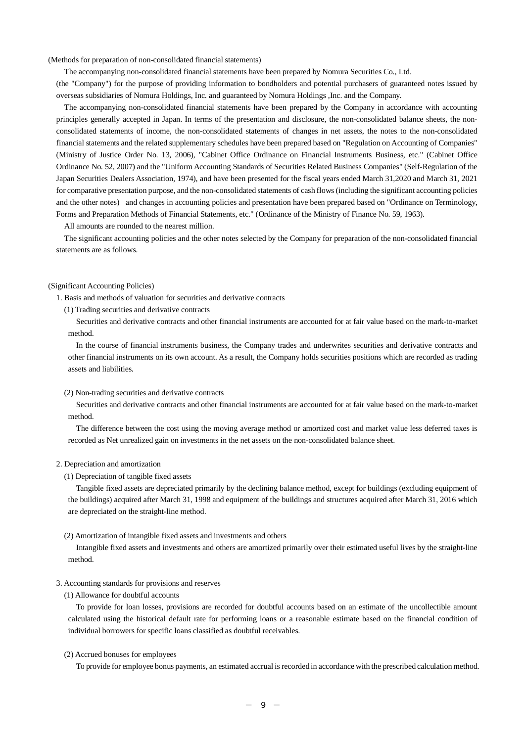(Methods for preparation of non-consolidated financial statements)

The accompanying non-consolidated financial statements have been prepared by Nomura Securities Co., Ltd.

(the "Company") for the purpose of providing information to bondholders and potential purchasers of guaranteed notes issued by overseas subsidiaries of Nomura Holdings, Inc. and guaranteed by Nomura Holdings ,Inc. and the Company.

The accompanying non-consolidated financial statements have been prepared by the Company in accordance with accounting principles generally accepted in Japan. In terms of the presentation and disclosure, the non-consolidated balance sheets, the nonconsolidated statements of income, the non-consolidated statements of changes in net assets, the notes to the non-consolidated financial statements and the related supplementary schedules have been prepared based on "Regulation on Accounting of Companies" (Ministry of Justice Order No. 13, 2006), "Cabinet Office Ordinance on Financial Instruments Business, etc." (Cabinet Office Ordinance No. 52, 2007) and the "Uniform Accounting Standards of Securities Related Business Companies" (Self-Regulation of the Japan Securities Dealers Association, 1974), and have been presented for the fiscal years ended March 31,2020 and March 31, 2021 for comparative presentation purpose, and the non-consolidated statements of cash flows (including the significant accounting policies and the other notes) and changes in accounting policies and presentation have been prepared based on "Ordinance on Terminology, Forms and Preparation Methods of Financial Statements, etc." (Ordinance of the Ministry of Finance No. 59, 1963).

All amounts are rounded to the nearest million.

The significant accounting policies and the other notes selected by the Company for preparation of the non-consolidated financial statements are as follows.

#### (Significant Accounting Policies)

1. Basis and methods of valuation for securities and derivative contracts

(1) Trading securities and derivative contracts

Securities and derivative contracts and other financial instruments are accounted for at fair value based on the mark-to-market method.

In the course of financial instruments business, the Company trades and underwrites securities and derivative contracts and other financial instruments on its own account. As a result, the Company holds securities positions which are recorded as trading assets and liabilities.

#### (2) Non-trading securities and derivative contracts

Securities and derivative contracts and other financial instruments are accounted for at fair value based on the mark-to-market method.

The difference between the cost using the moving average method or amortized cost and market value less deferred taxes is recorded as Net unrealized gain on investments in the net assets on the non-consolidated balance sheet.

#### 2. Depreciation and amortization

#### (1) Depreciation of tangible fixed assets

Tangible fixed assets are depreciated primarily by the declining balance method, except for buildings (excluding equipment of the buildings) acquired after March 31, 1998 and equipment of the buildings and structures acquired after March 31, 2016 which are depreciated on the straight-line method.

(2) Amortization of intangible fixed assets and investments and others

Intangible fixed assets and investments and others are amortized primarily over their estimated useful lives by the straight-line method.

#### 3. Accounting standards for provisions and reserves

#### (1) Allowance for doubtful accounts

To provide for loan losses, provisions are recorded for doubtful accounts based on an estimate of the uncollectible amount calculated using the historical default rate for performing loans or a reasonable estimate based on the financial condition of individual borrowers for specific loans classified as doubtful receivables.

#### (2) Accrued bonuses for employees

To provide for employee bonus payments, an estimated accrual is recorded in accordance with the prescribed calculation method.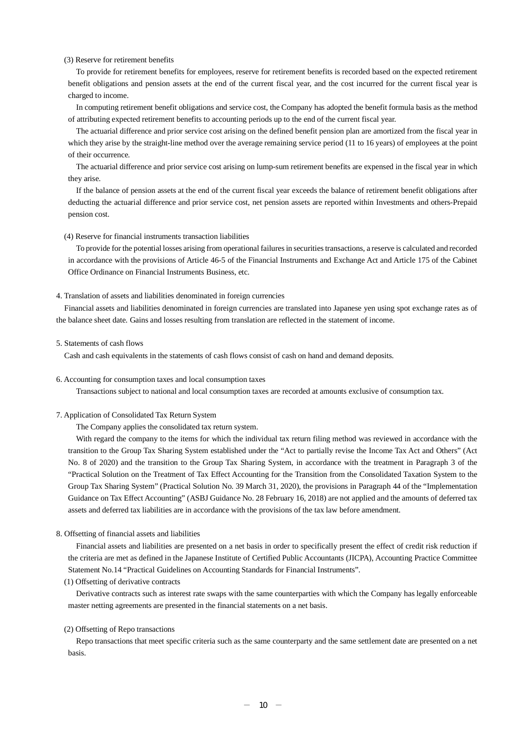#### (3) Reserve for retirement benefits

To provide for retirement benefits for employees, reserve for retirement benefits is recorded based on the expected retirement benefit obligations and pension assets at the end of the current fiscal year, and the cost incurred for the current fiscal year is charged to income.

In computing retirement benefit obligations and service cost, the Company has adopted the benefit formula basis as the method of attributing expected retirement benefits to accounting periods up to the end of the current fiscal year.

The actuarial difference and prior service cost arising on the defined benefit pension plan are amortized from the fiscal year in which they arise by the straight-line method over the average remaining service period (11 to 16 years) of employees at the point of their occurrence.

The actuarial difference and prior service cost arising on lump-sum retirement benefits are expensed in the fiscal year in which they arise.

If the balance of pension assets at the end of the current fiscal year exceeds the balance of retirement benefit obligations after deducting the actuarial difference and prior service cost, net pension assets are reported within Investments and others-Prepaid pension cost.

#### (4) Reserve for financial instruments transaction liabilities

To provide for the potential losses arising from operational failures in securities transactions, a reserve is calculated and recorded in accordance with the provisions of Article 46-5 of the Financial Instruments and Exchange Act and Article 175 of the Cabinet Office Ordinance on Financial Instruments Business, etc.

#### 4. Translation of assets and liabilities denominated in foreign currencies

Financial assets and liabilities denominated in foreign currencies are translated into Japanese yen using spot exchange rates as of the balance sheet date. Gains and losses resulting from translation are reflected in the statement of income.

#### 5. Statements of cash flows

Cash and cash equivalents in the statements of cash flows consist of cash on hand and demand deposits.

#### 6. Accounting for consumption taxes and local consumption taxes

Transactions subject to national and local consumption taxes are recorded at amounts exclusive of consumption tax.

#### 7. Application of Consolidated Tax Return System

The Company applies the consolidated tax return system.

With regard the company to the items for which the individual tax return filing method was reviewed in accordance with the transition to the Group Tax Sharing System established under the "Act to partially revise the Income Tax Act and Others" (Act No. 8 of 2020) and the transition to the Group Tax Sharing System, in accordance with the treatment in Paragraph 3 of the "Practical Solution on the Treatment of Tax Effect Accounting for the Transition from the Consolidated Taxation System to the Group Tax Sharing System" (Practical Solution No. 39 March 31, 2020), the provisions in Paragraph 44 of the "Implementation Guidance on Tax Effect Accounting" (ASBJ Guidance No. 28 February 16, 2018) are not applied and the amounts of deferred tax assets and deferred tax liabilities are in accordance with the provisions of the tax law before amendment.

#### 8. Offsetting of financial assets and liabilities

Financial assets and liabilities are presented on a net basis in order to specifically present the effect of credit risk reduction if the criteria are met as defined in the Japanese Institute of Certified Public Accountants (JICPA), Accounting Practice Committee Statement No.14 "Practical Guidelines on Accounting Standards for Financial Instruments".

#### (1) Offsetting of derivative contracts

Derivative contracts such as interest rate swaps with the same counterparties with which the Company has legally enforceable master netting agreements are presented in the financial statements on a net basis.

#### (2) Offsetting of Repo transactions

Repo transactions that meet specific criteria such as the same counterparty and the same settlement date are presented on a net basis.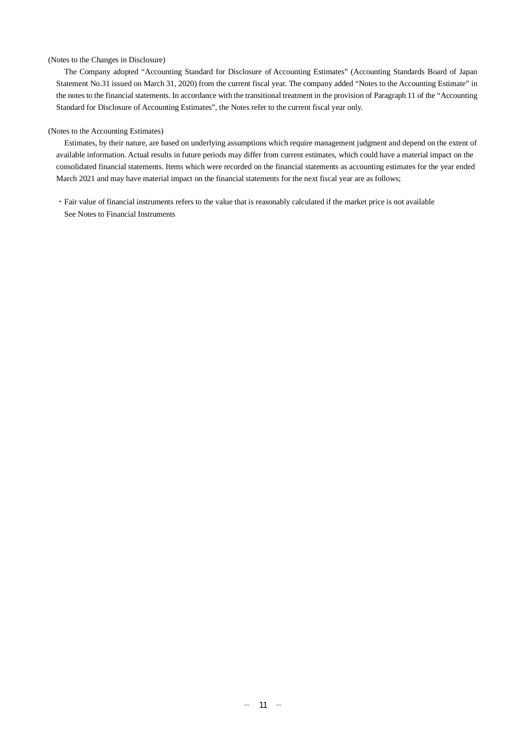#### (Notes to the Changes in Disclosure)

The Company adopted "Accounting Standard for Disclosure of Accounting Estimates" (Accounting Standards Board of Japan Statement No.31 issued on March 31, 2020) from the current fiscal year. The company added "Notes to the Accounting Estimate" in the notes to the financial statements. In accordance with the transitional treatment in the provision of Paragraph 11 of the "Accounting Standard for Disclosure of Accounting Estimates", the Notes refer to the current fiscal year only.

#### (Notes to the Accounting Estimates)

Estimates, by their nature, are based on underlying assumptions which require management judgment and depend on the extent of available information. Actual results in future periods may differ from current estimates, which could have a material impact on the consolidated financial statements. Items which were recorded on the financial statements as accounting estimates for the year ended March 2021 and may have material impact on the financial statements for the next fiscal year are as follows;

・Fair value of financial instruments refers to the value that is reasonably calculated if the market price is not available See Notes to Financial Instruments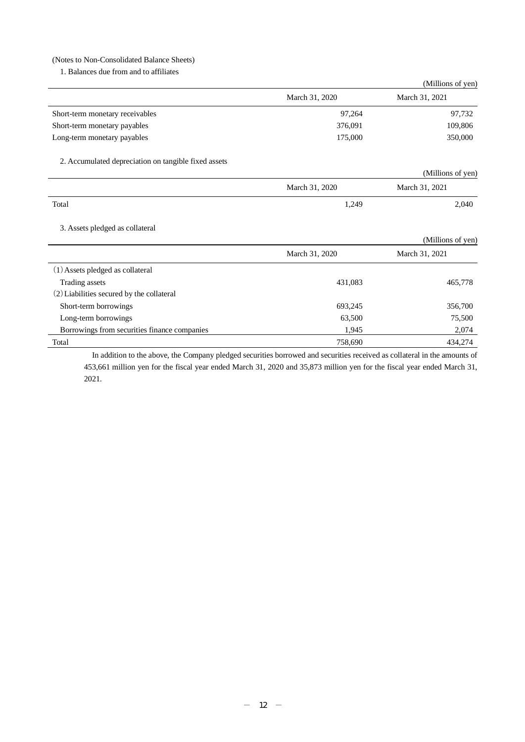### (Notes to Non-Consolidated Balance Sheets)

1. Balances due from and to affiliates

|                                 |                | (Millions of yen) |
|---------------------------------|----------------|-------------------|
|                                 | March 31, 2020 | March 31, 2021    |
| Short-term monetary receivables | 97.264         | 97,732            |
| Short-term monetary payables    | 376,091        | 109,806           |
| Long-term monetary payables     | 175,000        | 350,000           |

2. Accumulated depreciation on tangible fixed assets

|       | ັ |                | (Millions of yen) |
|-------|---|----------------|-------------------|
|       |   | March 31, 2020 | March 31, 2021    |
| Total |   | 1,249          | 2,040             |

3. Assets pledged as collateral

|                                              |                | (Millions of yen) |
|----------------------------------------------|----------------|-------------------|
|                                              | March 31, 2020 | March 31, 2021    |
| (1) Assets pledged as collateral             |                |                   |
| Trading assets                               | 431,083        | 465,778           |
| (2) Liabilities secured by the collateral    |                |                   |
| Short-term borrowings                        | 693,245        | 356,700           |
| Long-term borrowings                         | 63,500         | 75,500            |
| Borrowings from securities finance companies | 1,945          | 2,074             |
| Total                                        | 758,690        | 434,274           |

In addition to the above, the Company pledged securities borrowed and securities received as collateral in the amounts of 453,661 million yen for the fiscal year ended March 31, 2020 and 35,873 million yen for the fiscal year ended March 31, 2021.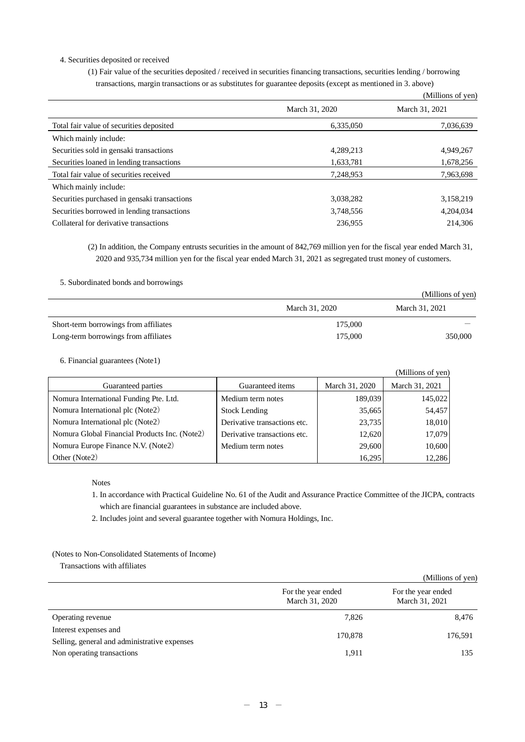#### 4. Securities deposited or received

(1) Fair value of the securities deposited / received in securities financing transactions, securities lending / borrowing transactions, margin transactions or as substitutes for guarantee deposits (except as mentioned in 3. above)

|                                              |                | (Millions of yen) |
|----------------------------------------------|----------------|-------------------|
|                                              | March 31, 2020 | March 31, 2021    |
| Total fair value of securities deposited     | 6,335,050      | 7,036,639         |
| Which mainly include:                        |                |                   |
| Securities sold in gensaki transactions      | 4,289,213      | 4,949,267         |
| Securities loaned in lending transactions    | 1,633,781      | 1,678,256         |
| Total fair value of securities received      | 7,248,953      | 7,963,698         |
| Which mainly include:                        |                |                   |
| Securities purchased in gensaki transactions | 3,038,282      | 3,158,219         |
| Securities borrowed in lending transactions  | 3,748,556      | 4,204,034         |
| Collateral for derivative transactions       | 236,955        | 214,306           |

(2) In addition, the Company entrusts securities in the amount of 842,769 million yen for the fiscal year ended March 31, 2020 and 935,734 million yen for the fiscal year ended March 31, 2021 as segregated trust money of customers.

5. Subordinated bonds and borrowings

|                                       |                | (Millions of yen) |
|---------------------------------------|----------------|-------------------|
|                                       | March 31, 2020 | March 31, 2021    |
| Short-term borrowings from affiliates | 175,000        |                   |
| Long-term borrowings from affiliates  | 175,000        | 350,000           |

6. Financial guarantees (Note1)

|                                               |                              |                | (Millions of yen) |
|-----------------------------------------------|------------------------------|----------------|-------------------|
| Guaranteed parties                            | Guaranteed items             | March 31, 2020 | March 31, 2021    |
| Nomura International Funding Pte. Ltd.        | Medium term notes            | 189,039        | 145,022           |
| Nomura International plc (Note2)              | Stock Lending                | 35,665         | 54,457            |
| Nomura International plc (Note2)              | Derivative transactions etc. | 23,735         | 18,010            |
| Nomura Global Financial Products Inc. (Note2) | Derivative transactions etc. | 12,620         | 17,079            |
| Nomura Europe Finance N.V. (Note2)            | Medium term notes            | 29,600         | 10,600            |
| Other (Note2)                                 |                              | 16,295         | 12,286            |

Notes

- 1. In accordance with Practical Guideline No. 61 of the Audit and Assurance Practice Committee of the JICPA, contracts which are financial guarantees in substance are included above.
- 2. Includes joint and several guarantee together with Nomura Holdings, Inc.

### (Notes to Non-Consolidated Statements of Income)

Transactions with affiliates

|                                                                       |                                      | (Millions of yen)                    |
|-----------------------------------------------------------------------|--------------------------------------|--------------------------------------|
|                                                                       | For the year ended<br>March 31, 2020 | For the year ended<br>March 31, 2021 |
| Operating revenue                                                     | 7,826                                | 8,476                                |
| Interest expenses and<br>Selling, general and administrative expenses | 170,878                              | 176,591                              |
| Non operating transactions                                            | 1,911                                | 135                                  |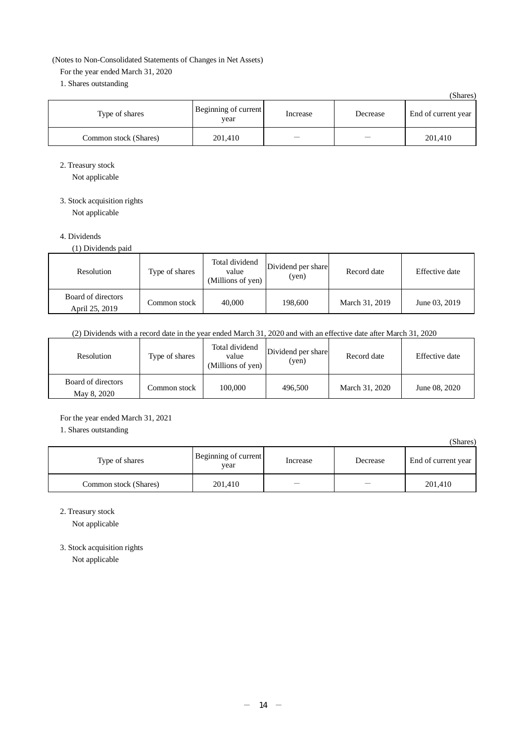### (Notes to Non-Consolidated Statements of Changes in Net Assets)

For the year ended March 31, 2020

1. Shares outstanding

|                       |                              |          |          | (Shares)            |
|-----------------------|------------------------------|----------|----------|---------------------|
| Type of shares        | Beginning of current<br>year | Increase | Decrease | End of current year |
| Common stock (Shares) | 201,410                      |          |          | 201,410             |

2. Treasury stock

Not applicable

3. Stock acquisition rights

Not applicable

# 4. Dividends

(1) Dividends paid

| Resolution                           | Type of shares | Total dividend<br>value<br>(Millions of yen) | Dividend per share<br>(yen) | Record date    | Effective date |
|--------------------------------------|----------------|----------------------------------------------|-----------------------------|----------------|----------------|
| Board of directors<br>April 25, 2019 | Common stock   | 40,000                                       | 198,600                     | March 31, 2019 | June 03, 2019  |

# (2) Dividends with a record date in the year ended March 31, 2020 and with an effective date after March 31, 2020

| Resolution                        | Type of shares | Total dividend<br>value<br>(Millions of yen) | Dividend per share<br>(yen) | Record date    | Effective date |
|-----------------------------------|----------------|----------------------------------------------|-----------------------------|----------------|----------------|
| Board of directors<br>May 8, 2020 | Common stock   | 100,000                                      | 496,500                     | March 31, 2020 | June 08, 2020  |

For the year ended March 31, 2021 1. Shares outstanding

|                       |                              |          |          | (Shares)            |
|-----------------------|------------------------------|----------|----------|---------------------|
| Type of shares        | Beginning of current<br>year | Increase | Decrease | End of current year |
| Common stock (Shares) | 201,410                      |          |          | 201,410             |

2. Treasury stock

Not applicable

3. Stock acquisition rights

Not applicable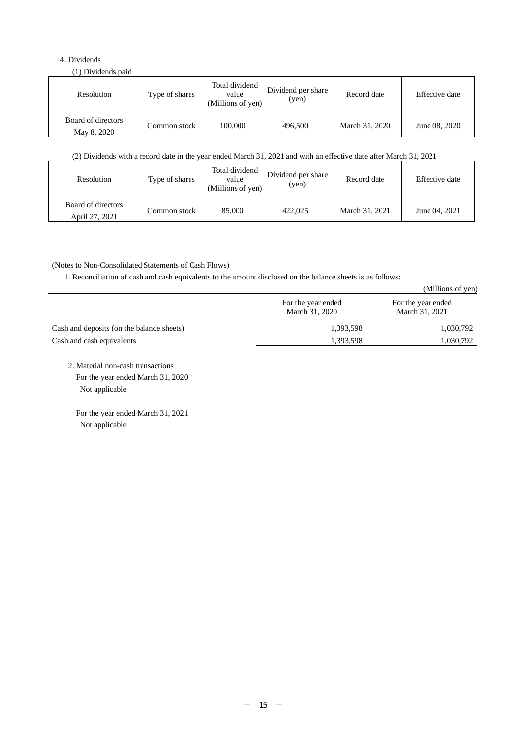# 4. Dividends

(1) Dividends paid

| Resolution                        | Type of shares | Total dividend<br>value<br>(Millions of yen) | Dividend per share<br>(yen) | Record date    | Effective date |
|-----------------------------------|----------------|----------------------------------------------|-----------------------------|----------------|----------------|
| Board of directors<br>May 8, 2020 | Common stock   | 100.000                                      | 496,500                     | March 31, 2020 | June 08, 2020  |

# (2) Dividends with a record date in the year ended March 31, 2021 and with an effective date after March 31, 2021

| Resolution                           | Type of shares | Total dividend<br>value<br>(Millions of yen) | Dividend per share<br>(yen) | Record date    | Effective date |
|--------------------------------------|----------------|----------------------------------------------|-----------------------------|----------------|----------------|
| Board of directors<br>April 27, 2021 | Common stock   | 85,000                                       | 422,025                     | March 31, 2021 | June 04, 2021  |

# (Notes to Non-Consolidated Statements of Cash Flows)

1. Reconciliation of cash and cash equivalents to the amount disclosed on the balance sheets is as follows:

|                                           |                                      | (Millions of yen)                    |
|-------------------------------------------|--------------------------------------|--------------------------------------|
|                                           | For the year ended<br>March 31, 2020 | For the year ended<br>March 31, 2021 |
| Cash and deposits (on the balance sheets) | 1,393,598                            | 1,030,792                            |
| Cash and cash equivalents                 | 1,393,598                            | 1,030,792                            |

2. Material non-cash transactions For the year ended March 31, 2020 Not applicable

For the year ended March 31, 2021 Not applicable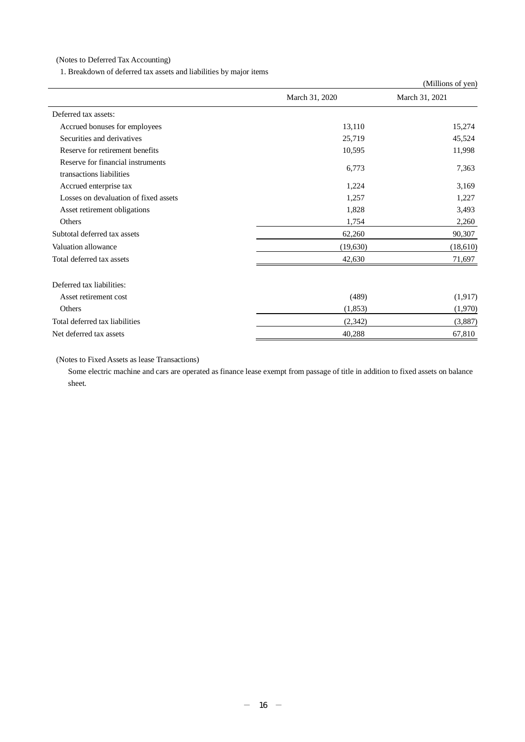(Notes to Deferred Tax Accounting)

1. Breakdown of deferred tax assets and liabilities by major items

|                                                               |                | (Millions of yen) |
|---------------------------------------------------------------|----------------|-------------------|
|                                                               | March 31, 2020 | March 31, 2021    |
| Deferred tax assets:                                          |                |                   |
| Accrued bonuses for employees                                 | 13,110         | 15,274            |
| Securities and derivatives                                    | 25,719         | 45,524            |
| Reserve for retirement benefits                               | 10,595         | 11,998            |
| Reserve for financial instruments<br>transactions liabilities | 6,773          | 7,363             |
| Accrued enterprise tax                                        | 1,224          | 3,169             |
| Losses on devaluation of fixed assets                         | 1,257          | 1,227             |
| Asset retirement obligations                                  | 1,828          | 3,493             |
| Others                                                        | 1,754          | 2,260             |
| Subtotal deferred tax assets                                  | 62,260         | 90,307            |
| Valuation allowance                                           | (19, 630)      | (18,610)          |
| Total deferred tax assets                                     | 42,630         | 71,697            |
| Deferred tax liabilities:                                     |                |                   |
| Asset retirement cost                                         | (489)          | (1,917)           |
| Others                                                        | (1,853)        | (1,970)           |
| Total deferred tax liabilities                                | (2,342)        | (3,887)           |
| Net deferred tax assets                                       | 40,288         | 67,810            |

(Notes to Fixed Assets as lease Transactions)

Some electric machine and cars are operated as finance lease exempt from passage of title in addition to fixed assets on balance sheet.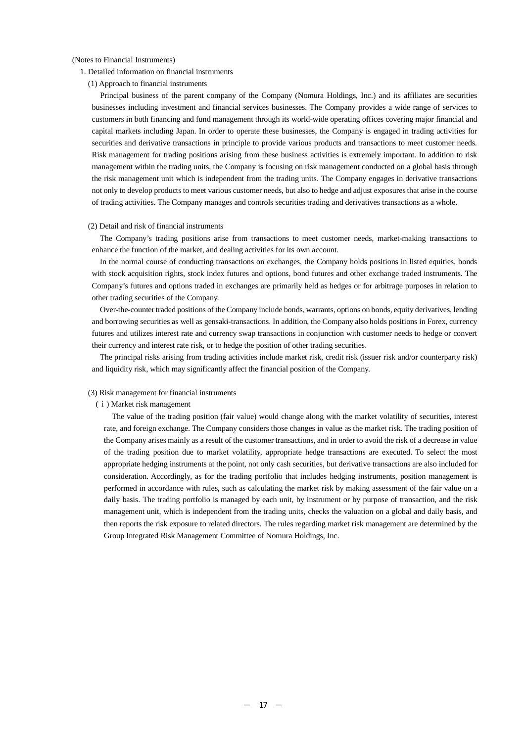#### (Notes to Financial Instruments)

- 1. Detailed information on financial instruments
	- (1) Approach to financial instruments

Principal business of the parent company of the Company (Nomura Holdings, Inc.) and its affiliates are securities businesses including investment and financial services businesses. The Company provides a wide range of services to customers in both financing and fund management through its world-wide operating offices covering major financial and capital markets including Japan. In order to operate these businesses, the Company is engaged in trading activities for securities and derivative transactions in principle to provide various products and transactions to meet customer needs. Risk management for trading positions arising from these business activities is extremely important. In addition to risk management within the trading units, the Company is focusing on risk management conducted on a global basis through the risk management unit which is independent from the trading units. The Company engages in derivative transactions not only to develop products to meet various customer needs, but also to hedge and adjust exposures that arise in the course of trading activities. The Company manages and controls securities trading and derivatives transactions as a whole.

#### (2) Detail and risk of financial instruments

The Company's trading positions arise from transactions to meet customer needs, market-making transactions to enhance the function of the market, and dealing activities for its own account.

In the normal course of conducting transactions on exchanges, the Company holds positions in listed equities, bonds with stock acquisition rights, stock index futures and options, bond futures and other exchange traded instruments. The Company's futures and options traded in exchanges are primarily held as hedges or for arbitrage purposes in relation to other trading securities of the Company.

Over-the-counter traded positions of the Company include bonds, warrants, options on bonds, equity derivatives, lending and borrowing securities as well as gensaki-transactions. In addition, the Company also holds positions in Forex, currency futures and utilizes interest rate and currency swap transactions in conjunction with customer needs to hedge or convert their currency and interest rate risk, or to hedge the position of other trading securities.

The principal risks arising from trading activities include market risk, credit risk (issuer risk and/or counterparty risk) and liquidity risk, which may significantly affect the financial position of the Company.

#### (3) Risk management for financial instruments

#### (ⅰ) Market risk management

The value of the trading position (fair value) would change along with the market volatility of securities, interest rate, and foreign exchange. The Company considers those changes in value as the market risk. The trading position of the Company arises mainly as a result of the customer transactions, and in order to avoid the risk of a decrease in value of the trading position due to market volatility, appropriate hedge transactions are executed. To select the most appropriate hedging instruments at the point, not only cash securities, but derivative transactions are also included for consideration. Accordingly, as for the trading portfolio that includes hedging instruments, position management is performed in accordance with rules, such as calculating the market risk by making assessment of the fair value on a daily basis. The trading portfolio is managed by each unit, by instrument or by purpose of transaction, and the risk management unit, which is independent from the trading units, checks the valuation on a global and daily basis, and then reports the risk exposure to related directors. The rules regarding market risk management are determined by the Group Integrated Risk Management Committee of Nomura Holdings, Inc.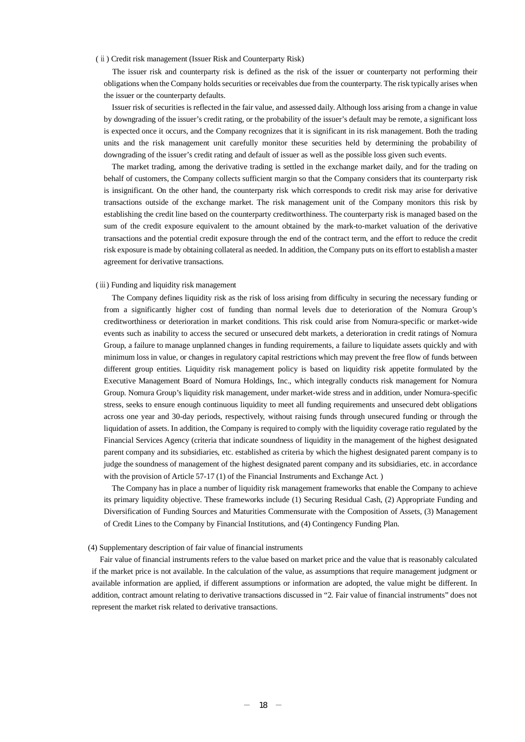#### (ⅱ) Credit risk management (Issuer Risk and Counterparty Risk)

The issuer risk and counterparty risk is defined as the risk of the issuer or counterparty not performing their obligations when the Company holds securities or receivables due from the counterparty. The risk typically arises when the issuer or the counterparty defaults.

Issuer risk of securities is reflected in the fair value, and assessed daily. Although loss arising from a change in value by downgrading of the issuer's credit rating, or the probability of the issuer's default may be remote, a significant loss is expected once it occurs, and the Company recognizes that it is significant in its risk management. Both the trading units and the risk management unit carefully monitor these securities held by determining the probability of downgrading of the issuer's credit rating and default of issuer as well as the possible loss given such events.

The market trading, among the derivative trading is settled in the exchange market daily, and for the trading on behalf of customers, the Company collects sufficient margin so that the Company considers that its counterparty risk is insignificant. On the other hand, the counterparty risk which corresponds to credit risk may arise for derivative transactions outside of the exchange market. The risk management unit of the Company monitors this risk by establishing the credit line based on the counterparty creditworthiness. The counterparty risk is managed based on the sum of the credit exposure equivalent to the amount obtained by the mark-to-market valuation of the derivative transactions and the potential credit exposure through the end of the contract term, and the effort to reduce the credit risk exposure is made by obtaining collateral as needed. In addition, the Company puts on its effort to establish a master agreement for derivative transactions.

#### (ⅲ) Funding and liquidity risk management

The Company defines liquidity risk as the risk of loss arising from difficulty in securing the necessary funding or from a significantly higher cost of funding than normal levels due to deterioration of the Nomura Group's creditworthiness or deterioration in market conditions. This risk could arise from Nomura-specific or market-wide events such as inability to access the secured or unsecured debt markets, a deterioration in credit ratings of Nomura Group, a failure to manage unplanned changes in funding requirements, a failure to liquidate assets quickly and with minimum loss in value, or changes in regulatory capital restrictions which may prevent the free flow of funds between different group entities. Liquidity risk management policy is based on liquidity risk appetite formulated by the Executive Management Board of Nomura Holdings, Inc., which integrally conducts risk management for Nomura Group. Nomura Group's liquidity risk management, under market-wide stress and in addition, under Nomura-specific stress, seeks to ensure enough continuous liquidity to meet all funding requirements and unsecured debt obligations across one year and 30-day periods, respectively, without raising funds through unsecured funding or through the liquidation of assets. In addition, the Company is required to comply with the liquidity coverage ratio regulated by the Financial Services Agency (criteria that indicate soundness of liquidity in the management of the highest designated parent company and its subsidiaries, etc. established as criteria by which the highest designated parent company is to judge the soundness of management of the highest designated parent company and its subsidiaries, etc. in accordance with the provision of Article 57-17 (1) of the Financial Instruments and Exchange Act.)

The Company has in place a number of liquidity risk management frameworks that enable the Company to achieve its primary liquidity objective. These frameworks include (1) Securing Residual Cash, (2) Appropriate Funding and Diversification of Funding Sources and Maturities Commensurate with the Composition of Assets, (3) Management of Credit Lines to the Company by Financial Institutions, and (4) Contingency Funding Plan.

#### (4) Supplementary description of fair value of financial instruments

Fair value of financial instruments refers to the value based on market price and the value that is reasonably calculated if the market price is not available. In the calculation of the value, as assumptions that require management judgment or available information are applied, if different assumptions or information are adopted, the value might be different. In addition, contract amount relating to derivative transactions discussed in "2. Fair value of financial instruments" does not represent the market risk related to derivative transactions.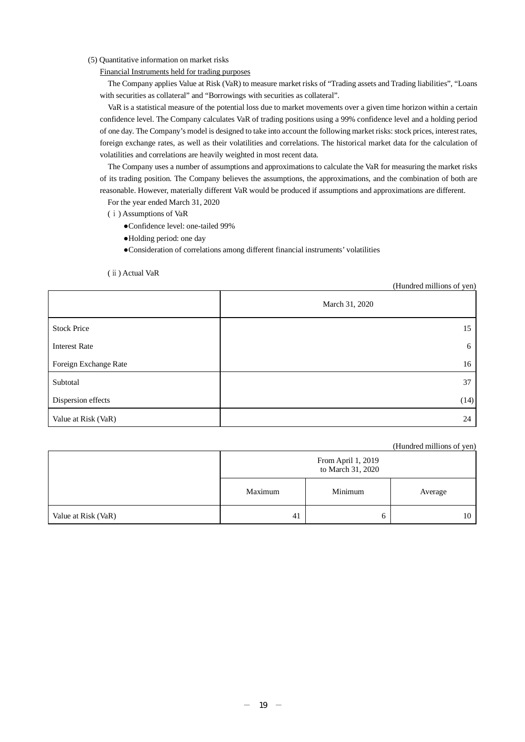### (5) Quantitative information on market risks

Financial Instruments held for trading purposes

The Company applies Value at Risk (VaR) to measure market risks of "Trading assets and Trading liabilities", "Loans with securities as collateral" and "Borrowings with securities as collateral".

VaR is a statistical measure of the potential loss due to market movements over a given time horizon within a certain confidence level. The Company calculates VaR of trading positions using a 99% confidence level and a holding period of one day. The Company's model is designed to take into account the following market risks: stock prices, interest rates, foreign exchange rates, as well as their volatilities and correlations. The historical market data for the calculation of volatilities and correlations are heavily weighted in most recent data.

The Company uses a number of assumptions and approximations to calculate the VaR for measuring the market risks of its trading position. The Company believes the assumptions, the approximations, and the combination of both are reasonable. However, materially different VaR would be produced if assumptions and approximations are different.

For the year ended March 31, 2020

(ⅰ) Assumptions of VaR

- ●Confidence level: one-tailed 99%
- ●Holding period: one day
- ●Consideration of correlations among different financial instruments' volatilities

(ⅱ) Actual VaR

(Hundred millions of yen)

|                       | March 31, 2020 |
|-----------------------|----------------|
| <b>Stock Price</b>    | 15             |
| <b>Interest Rate</b>  | 6              |
| Foreign Exchange Rate | 16             |
| Subtotal              | 37             |
| Dispersion effects    | (14)           |
| Value at Risk (VaR)   | 24             |

(Hundred millions of yen)

|                     | From April 1, 2019<br>to March 31, 2020 |         |         |
|---------------------|-----------------------------------------|---------|---------|
|                     | Maximum                                 | Minimum | Average |
| Value at Risk (VaR) | 41                                      |         | 10      |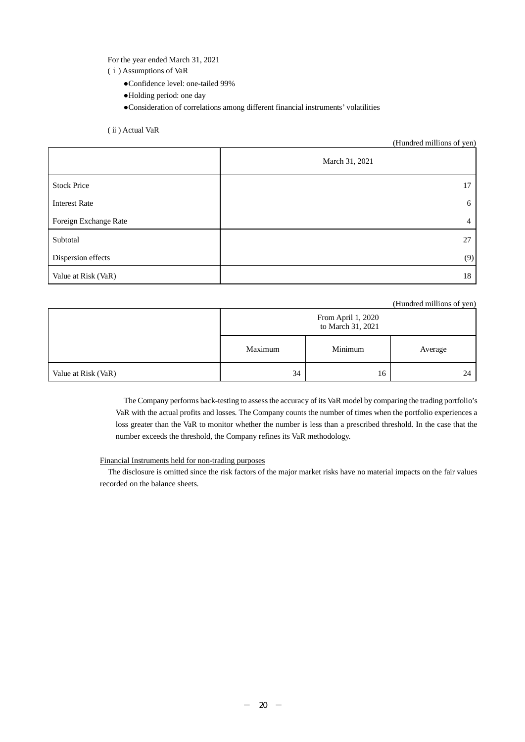For the year ended March 31, 2021

- (ⅰ) Assumptions of VaR
	- ●Confidence level: one-tailed 99%
	- ●Holding period: one day

●Consideration of correlations among different financial instruments' volatilities

(ⅱ) Actual VaR

#### (Hundred millions of yen)

|                       | March 31, 2021 |
|-----------------------|----------------|
| <b>Stock Price</b>    | 17             |
| <b>Interest Rate</b>  | 6              |
| Foreign Exchange Rate | $\overline{4}$ |
| Subtotal              | 27             |
| Dispersion effects    | (9)            |
| Value at Risk (VaR)   | 18             |

### (Hundred millions of yen)

|                     | From April 1, 2020<br>to March 31, 2021 |         |         |
|---------------------|-----------------------------------------|---------|---------|
|                     | Maximum                                 | Minimum | Average |
| Value at Risk (VaR) | 34                                      | 16      | 24      |

The Company performs back-testing to assess the accuracy of its VaR model by comparing the trading portfolio's VaR with the actual profits and losses. The Company counts the number of times when the portfolio experiences a loss greater than the VaR to monitor whether the number is less than a prescribed threshold. In the case that the number exceeds the threshold, the Company refines its VaR methodology.

### Financial Instruments held for non-trading purposes

The disclosure is omitted since the risk factors of the major market risks have no material impacts on the fair values recorded on the balance sheets.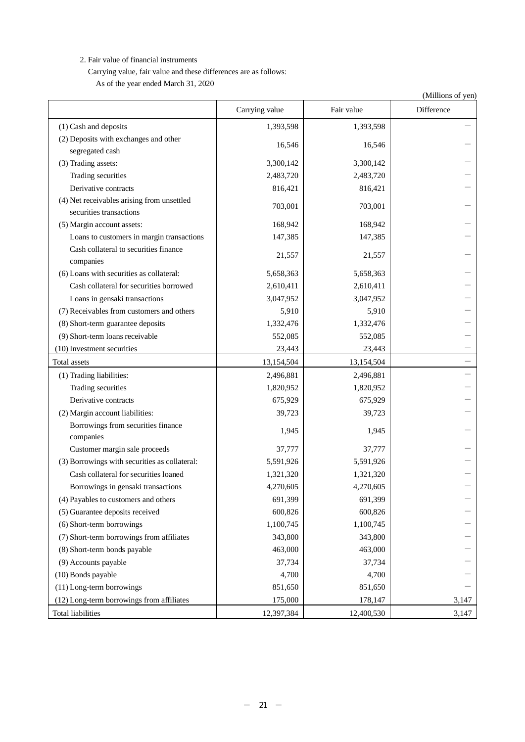2. Fair value of financial instruments

Carrying value, fair value and these differences are as follows: As of the year ended March 31, 2020

|                                               |                |            | (Millions of yen) |
|-----------------------------------------------|----------------|------------|-------------------|
|                                               | Carrying value | Fair value | Difference        |
| (1) Cash and deposits                         | 1,393,598      | 1,393,598  |                   |
| (2) Deposits with exchanges and other         |                |            |                   |
| segregated cash                               | 16,546         | 16,546     |                   |
| (3) Trading assets:                           | 3,300,142      | 3,300,142  |                   |
| Trading securities                            | 2,483,720      | 2,483,720  |                   |
| Derivative contracts                          | 816,421        | 816,421    |                   |
| (4) Net receivables arising from unsettled    | 703,001        | 703,001    |                   |
| securities transactions                       |                |            |                   |
| (5) Margin account assets:                    | 168,942        | 168,942    |                   |
| Loans to customers in margin transactions     | 147,385        | 147,385    |                   |
| Cash collateral to securities finance         | 21,557         | 21,557     |                   |
| companies                                     |                |            |                   |
| (6) Loans with securities as collateral:      | 5,658,363      | 5,658,363  |                   |
| Cash collateral for securities borrowed       | 2,610,411      | 2,610,411  |                   |
| Loans in gensaki transactions                 | 3,047,952      | 3,047,952  |                   |
| (7) Receivables from customers and others     | 5,910          | 5,910      |                   |
| (8) Short-term guarantee deposits             | 1,332,476      | 1,332,476  |                   |
| (9) Short-term loans receivable               | 552,085        | 552,085    |                   |
| (10) Investment securities                    | 23,443         | 23,443     |                   |
| Total assets                                  | 13,154,504     | 13,154,504 |                   |
| (1) Trading liabilities:                      | 2,496,881      | 2,496,881  |                   |
| Trading securities                            | 1,820,952      | 1,820,952  |                   |
| Derivative contracts                          | 675,929        | 675,929    |                   |
| (2) Margin account liabilities:               | 39,723         | 39,723     |                   |
| Borrowings from securities finance            | 1,945          |            |                   |
| companies                                     |                | 1,945      |                   |
| Customer margin sale proceeds                 | 37,777         | 37,777     |                   |
| (3) Borrowings with securities as collateral: | 5,591,926      | 5,591,926  |                   |
| Cash collateral for securities loaned         | 1,321,320      | 1,321,320  |                   |
| Borrowings in gensaki transactions            | 4,270,605      | 4,270,605  |                   |
| (4) Payables to customers and others          | 691,399        | 691,399    |                   |
| (5) Guarantee deposits received               | 600,826        | 600,826    |                   |
| (6) Short-term borrowings                     | 1,100,745      | 1,100,745  |                   |
| (7) Short-term borrowings from affiliates     | 343,800        | 343,800    |                   |
| (8) Short-term bonds payable                  | 463,000        | 463,000    |                   |
| (9) Accounts payable                          | 37,734         | 37,734     |                   |
| (10) Bonds payable                            | 4,700          | 4,700      |                   |
| (11) Long-term borrowings                     | 851,650        | 851,650    |                   |
| (12) Long-term borrowings from affiliates     | 175,000        | 178,147    | 3,147             |
| <b>Total liabilities</b>                      | 12,397,384     | 12,400,530 | 3,147             |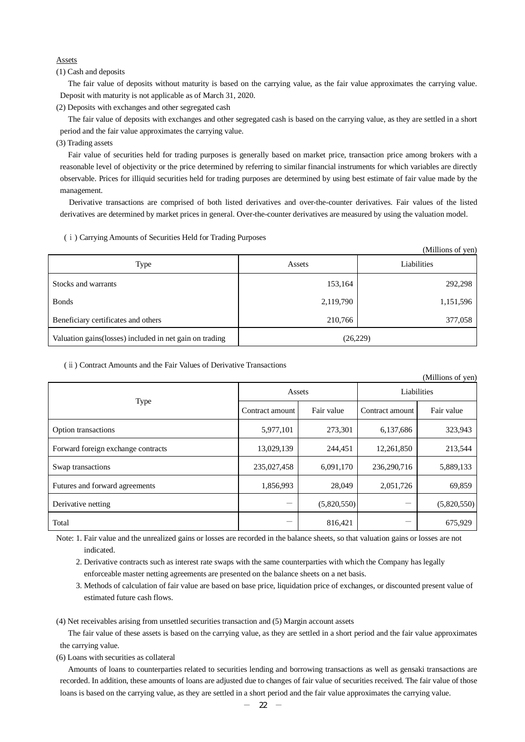### Assets

(1) Cash and deposits

The fair value of deposits without maturity is based on the carrying value, as the fair value approximates the carrying value. Deposit with maturity is not applicable as of March 31, 2020.

(2) Deposits with exchanges and other segregated cash

The fair value of deposits with exchanges and other segregated cash is based on the carrying value, as they are settled in a short period and the fair value approximates the carrying value.

(3) Trading assets

Fair value of securities held for trading purposes is generally based on market price, transaction price among brokers with a reasonable level of objectivity or the price determined by referring to similar financial instruments for which variables are directly observable. Prices for illiquid securities held for trading purposes are determined by using best estimate of fair value made by the management.

Derivative transactions are comprised of both listed derivatives and over-the-counter derivatives. Fair values of the listed derivatives are determined by market prices in general. Over-the-counter derivatives are measured by using the valuation model.

#### (ⅰ) Carrying Amounts of Securities Held for Trading Purposes

|                                                         |           | (Millions of yen) |
|---------------------------------------------------------|-----------|-------------------|
| Type                                                    | Assets    | Liabilities       |
| Stocks and warrants                                     | 153,164   | 292,298           |
| <b>Bonds</b>                                            | 2,119,790 | 1,151,596         |
| Beneficiary certificates and others                     | 210,766   | 377,058           |
| Valuation gains(losses) included in net gain on trading | (26,229)  |                   |

### (ⅱ) Contract Amounts and the Fair Values of Derivative Transactions

|                                    |                 |             |                 | (Millions of yen) |  |
|------------------------------------|-----------------|-------------|-----------------|-------------------|--|
|                                    | Assets          |             | Liabilities     |                   |  |
| <b>Type</b>                        | Contract amount | Fair value  | Contract amount | Fair value        |  |
| Option transactions                | 5,977,101       | 273,301     | 6,137,686       | 323,943           |  |
| Forward foreign exchange contracts | 13,029,139      | 244,451     | 12,261,850      | 213,544           |  |
| Swap transactions                  | 235,027,458     | 6,091,170   | 236,290,716     | 5,889,133         |  |
| Futures and forward agreements     | 1,856,993       | 28,049      | 2,051,726       | 69,859            |  |
| Derivative netting                 |                 | (5,820,550) |                 | (5,820,550)       |  |
| Total                              |                 | 816,421     |                 | 675,929           |  |

Note: 1. Fair value and the unrealized gains or losses are recorded in the balance sheets, so that valuation gains or losses are not indicated.

2. Derivative contracts such as interest rate swaps with the same counterparties with which the Company has legally enforceable master netting agreements are presented on the balance sheets on a net basis.

3. Methods of calculation of fair value are based on base price, liquidation price of exchanges, or discounted present value of estimated future cash flows.

(4) Net receivables arising from unsettled securities transaction and (5) Margin account assets

The fair value of these assets is based on the carrying value, as they are settled in a short period and the fair value approximates the carrying value.

(6) Loans with securities as collateral

Amounts of loans to counterparties related to securities lending and borrowing transactions as well as gensaki transactions are recorded. In addition, these amounts of loans are adjusted due to changes of fair value of securities received. The fair value of those loans is based on the carrying value, as they are settled in a short period and the fair value approximates the carrying value.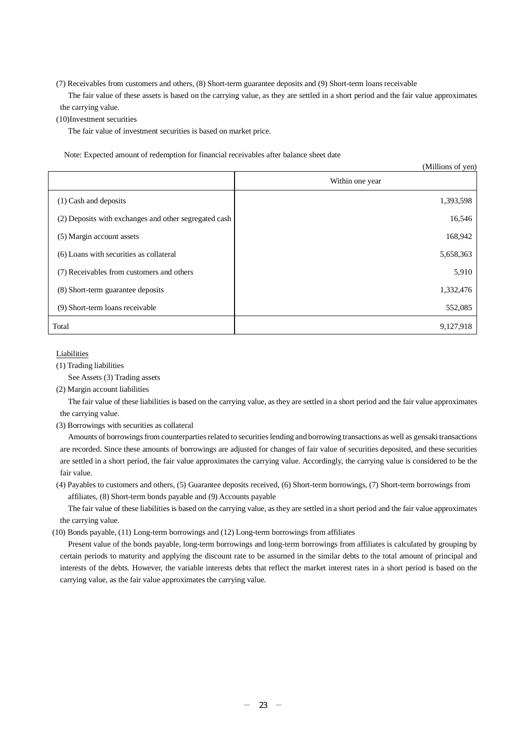(7) Receivables from customers and others, (8) Short-term guarantee deposits and (9) Short-term loans receivable

The fair value of these assets is based on the carrying value, as they are settled in a short period and the fair value approximates the carrying value.

(10)Investment securities

The fair value of investment securities is based on market price.

Note: Expected amount of redemption for financial receivables after balance sheet date

|                                                       | (Millions of yen) |
|-------------------------------------------------------|-------------------|
|                                                       | Within one year   |
| $(1)$ Cash and deposits                               | 1,393,598         |
| (2) Deposits with exchanges and other segregated cash | 16,546            |
| (5) Margin account assets                             | 168,942           |
| (6) Loans with securities as collateral               | 5,658,363         |
| (7) Receivables from customers and others             | 5,910             |
| (8) Short-term guarantee deposits                     | 1,332,476         |
| (9) Short-term loans receivable                       | 552,085           |
| Total                                                 | 9,127,918         |

Liabilities

(1) Trading liabilities

See Assets (3) Trading assets

(2) Margin account liabilities

The fair value of these liabilities is based on the carrying value, as they are settled in a short period and the fair value approximates the carrying value.

(3) Borrowings with securities as collateral

Amounts of borrowings from counterparties related to securities lending and borrowing transactions as well as gensaki transactions are recorded. Since these amounts of borrowings are adjusted for changes of fair value of securities deposited, and these securities are settled in a short period, the fair value approximates the carrying value. Accordingly, the carrying value is considered to be the fair value.

(4) Payables to customers and others, (5) Guarantee deposits received, (6) Short-term borrowings, (7) Short-term borrowings from affiliates, (8) Short-term bonds payable and (9) Accounts payable

The fair value of these liabilities is based on the carrying value, as they are settled in a short period and the fair value approximates the carrying value.

(10) Bonds payable, (11) Long-term borrowings and (12) Long-term borrowings from affiliates

Present value of the bonds payable, long-term borrowings and long-term borrowings from affiliates is calculated by grouping by certain periods to maturity and applying the discount rate to be assumed in the similar debts to the total amount of principal and interests of the debts. However, the variable interests debts that reflect the market interest rates in a short period is based on the carrying value, as the fair value approximates the carrying value.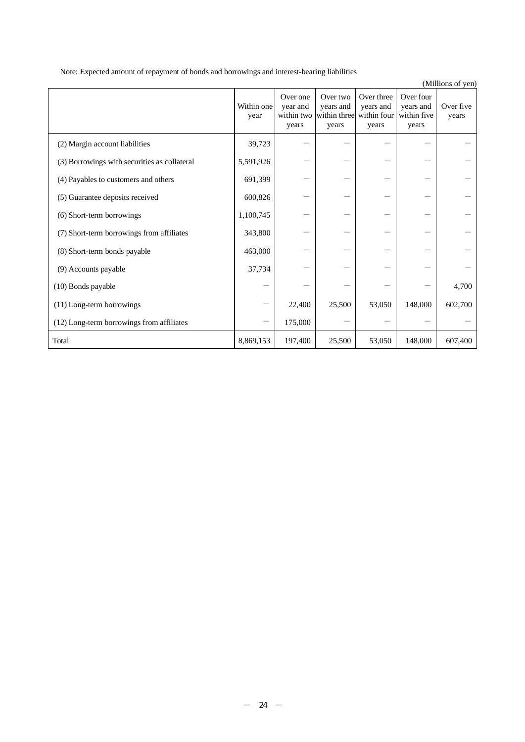Note: Expected amount of repayment of bonds and borrowings and interest-bearing liabilities

|                                              | Within one<br>year | Over one<br>year and<br>within two<br>years | Over two<br>years and<br>within three within four<br>years | Over three<br>years and<br>years | Over four<br>years and<br>within five<br>years | Over five<br>years |
|----------------------------------------------|--------------------|---------------------------------------------|------------------------------------------------------------|----------------------------------|------------------------------------------------|--------------------|
| (2) Margin account liabilities               | 39,723             |                                             |                                                            |                                  |                                                |                    |
| (3) Borrowings with securities as collateral | 5,591,926          |                                             |                                                            |                                  |                                                |                    |
| (4) Payables to customers and others         | 691,399            |                                             |                                                            |                                  |                                                |                    |
| (5) Guarantee deposits received              | 600,826            |                                             |                                                            |                                  |                                                |                    |
| (6) Short-term borrowings                    | 1,100,745          |                                             |                                                            |                                  |                                                |                    |
| (7) Short-term borrowings from affiliates    | 343,800            |                                             |                                                            |                                  |                                                |                    |
| (8) Short-term bonds payable                 | 463,000            |                                             |                                                            |                                  |                                                |                    |
| (9) Accounts payable                         | 37,734             |                                             |                                                            |                                  |                                                |                    |
| (10) Bonds payable                           |                    |                                             |                                                            |                                  |                                                | 4,700              |
| (11) Long-term borrowings                    |                    | 22,400                                      | 25,500                                                     | 53,050                           | 148,000                                        | 602,700            |
| (12) Long-term borrowings from affiliates    |                    | 175,000                                     |                                                            |                                  |                                                |                    |
| Total                                        | 8,869,153          | 197,400                                     | 25,500                                                     | 53,050                           | 148,000                                        | 607,400            |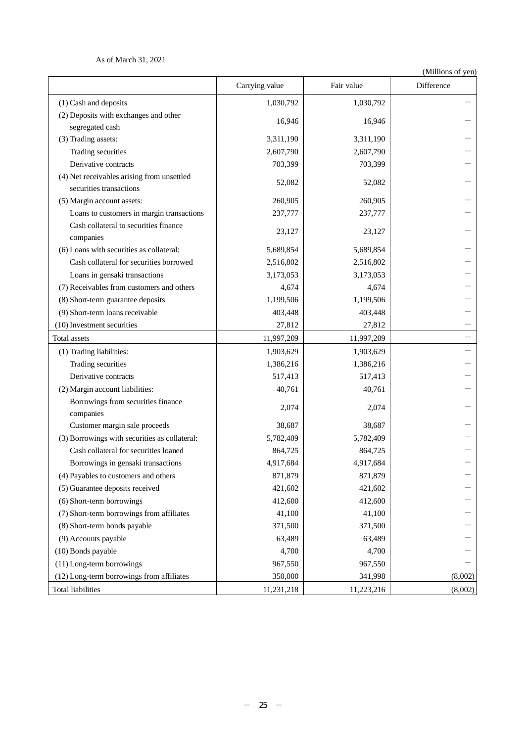As of March 31, 2021

|                                                    | Carrying value | Fair value | $\cdots$<br>Difference |
|----------------------------------------------------|----------------|------------|------------------------|
| (1) Cash and deposits                              | 1,030,792      | 1,030,792  |                        |
| (2) Deposits with exchanges and other              |                |            |                        |
| segregated cash                                    | 16,946         | 16,946     |                        |
| (3) Trading assets:                                | 3,311,190      | 3,311,190  |                        |
| Trading securities                                 | 2,607,790      | 2,607,790  |                        |
| Derivative contracts                               | 703,399        | 703,399    |                        |
| (4) Net receivables arising from unsettled         | 52,082         | 52,082     |                        |
| securities transactions                            |                |            |                        |
| (5) Margin account assets:                         | 260,905        | 260,905    |                        |
| Loans to customers in margin transactions          | 237,777        | 237,777    |                        |
| Cash collateral to securities finance<br>companies | 23,127         | 23,127     |                        |
| (6) Loans with securities as collateral:           | 5,689,854      | 5,689,854  |                        |
| Cash collateral for securities borrowed            | 2,516,802      | 2,516,802  |                        |
| Loans in gensaki transactions                      | 3,173,053      | 3,173,053  |                        |
| (7) Receivables from customers and others          | 4,674          | 4,674      |                        |
| (8) Short-term guarantee deposits                  | 1,199,506      | 1,199,506  |                        |
| (9) Short-term loans receivable                    | 403,448        | 403,448    |                        |
| (10) Investment securities                         | 27,812         | 27,812     |                        |
| Total assets                                       | 11,997,209     | 11,997,209 |                        |
| (1) Trading liabilities:                           | 1,903,629      | 1,903,629  |                        |
| Trading securities                                 | 1,386,216      | 1,386,216  |                        |
| Derivative contracts                               | 517,413        | 517,413    |                        |
| (2) Margin account liabilities:                    | 40,761         | 40,761     |                        |
| Borrowings from securities finance<br>companies    | 2,074          | 2,074      |                        |
| Customer margin sale proceeds                      | 38,687         | 38,687     |                        |
| (3) Borrowings with securities as collateral:      | 5,782,409      | 5,782,409  |                        |
| Cash collateral for securities loaned              | 864,725        | 864,725    |                        |
| Borrowings in gensaki transactions                 | 4,917,684      | 4,917,684  |                        |
| (4) Payables to customers and others               | 871,879        | 871,879    |                        |
| (5) Guarantee deposits received                    | 421,602        | 421,602    |                        |
| (6) Short-term borrowings                          | 412,600        | 412,600    |                        |
| (7) Short-term borrowings from affiliates          | 41,100         | 41,100     |                        |
| (8) Short-term bonds payable                       | 371,500        | 371,500    |                        |
| (9) Accounts payable                               | 63,489         | 63,489     |                        |
| (10) Bonds payable                                 | 4,700          | 4,700      |                        |
| (11) Long-term borrowings                          | 967,550        | 967,550    |                        |
| (12) Long-term borrowings from affiliates          | 350,000        | 341,998    | (8,002)                |
| <b>Total liabilities</b>                           | 11,231,218     | 11,223,216 | (8,002)                |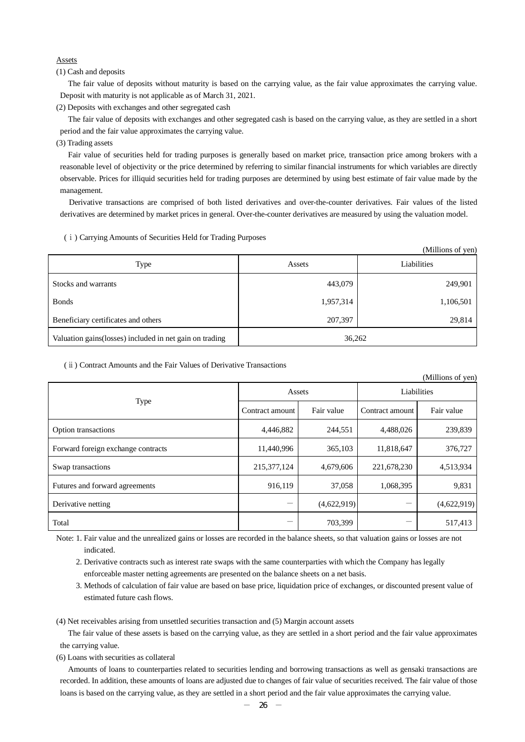### Assets

(1) Cash and deposits

The fair value of deposits without maturity is based on the carrying value, as the fair value approximates the carrying value. Deposit with maturity is not applicable as of March 31, 2021.

(2) Deposits with exchanges and other segregated cash

The fair value of deposits with exchanges and other segregated cash is based on the carrying value, as they are settled in a short period and the fair value approximates the carrying value.

(3) Trading assets

Fair value of securities held for trading purposes is generally based on market price, transaction price among brokers with a reasonable level of objectivity or the price determined by referring to similar financial instruments for which variables are directly observable. Prices for illiquid securities held for trading purposes are determined by using best estimate of fair value made by the management.

Derivative transactions are comprised of both listed derivatives and over-the-counter derivatives. Fair values of the listed derivatives are determined by market prices in general. Over-the-counter derivatives are measured by using the valuation model.

#### (ⅰ) Carrying Amounts of Securities Held for Trading Purposes

|                                                          |           | (Millions of yen) |
|----------------------------------------------------------|-----------|-------------------|
| Type                                                     | Assets    | Liabilities       |
| Stocks and warrants                                      | 443,079   | 249,901           |
| <b>Bonds</b>                                             | 1,957,314 | 1,106,501         |
| Beneficiary certificates and others                      | 207,397   | 29,814            |
| Valuation gains (losses) included in net gain on trading | 36,262    |                   |

#### (ⅱ) Contract Amounts and the Fair Values of Derivative Transactions

|                                    |                 |             |                 | (Millions of yen) |  |
|------------------------------------|-----------------|-------------|-----------------|-------------------|--|
|                                    | Assets          |             | Liabilities     |                   |  |
| <b>Type</b>                        | Contract amount | Fair value  | Contract amount | Fair value        |  |
| Option transactions                | 4,446,882       | 244,551     | 4,488,026       | 239,839           |  |
| Forward foreign exchange contracts | 11,440,996      | 365,103     | 11,818,647      | 376,727           |  |
| Swap transactions                  | 215,377,124     | 4,679,606   | 221,678,230     | 4,513,934         |  |
| Futures and forward agreements     | 916,119         | 37,058      | 1,068,395       | 9,831             |  |
| Derivative netting                 |                 | (4,622,919) |                 | (4,622,919)       |  |
| Total                              |                 | 703,399     |                 | 517,413           |  |

Note: 1. Fair value and the unrealized gains or losses are recorded in the balance sheets, so that valuation gains or losses are not indicated.

2. Derivative contracts such as interest rate swaps with the same counterparties with which the Company has legally enforceable master netting agreements are presented on the balance sheets on a net basis.

3. Methods of calculation of fair value are based on base price, liquidation price of exchanges, or discounted present value of estimated future cash flows.

(4) Net receivables arising from unsettled securities transaction and (5) Margin account assets

The fair value of these assets is based on the carrying value, as they are settled in a short period and the fair value approximates the carrying value.

(6) Loans with securities as collateral

Amounts of loans to counterparties related to securities lending and borrowing transactions as well as gensaki transactions are recorded. In addition, these amounts of loans are adjusted due to changes of fair value of securities received. The fair value of those loans is based on the carrying value, as they are settled in a short period and the fair value approximates the carrying value.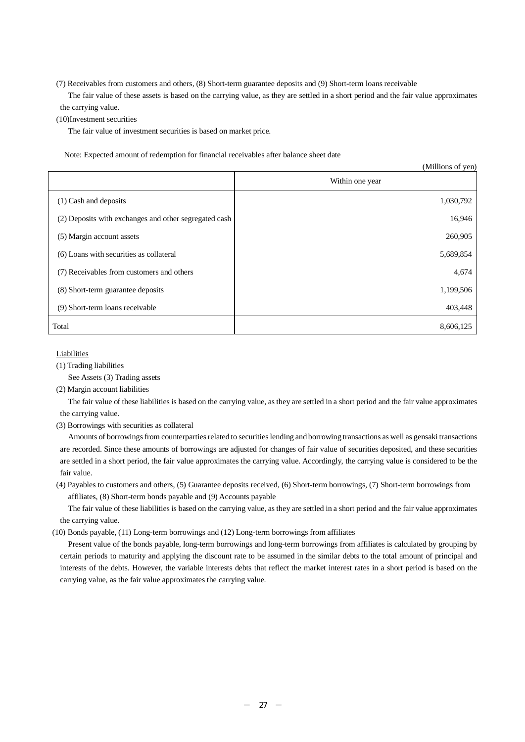(7) Receivables from customers and others, (8) Short-term guarantee deposits and (9) Short-term loans receivable

The fair value of these assets is based on the carrying value, as they are settled in a short period and the fair value approximates the carrying value.

(10)Investment securities

The fair value of investment securities is based on market price.

Note: Expected amount of redemption for financial receivables after balance sheet date

|                                                       | (Millions of yen) |
|-------------------------------------------------------|-------------------|
|                                                       | Within one year   |
| $(1)$ Cash and deposits                               | 1,030,792         |
| (2) Deposits with exchanges and other segregated cash | 16,946            |
| (5) Margin account assets                             | 260,905           |
| (6) Loans with securities as collateral               | 5,689,854         |
| (7) Receivables from customers and others             | 4,674             |
| (8) Short-term guarantee deposits                     | 1,199,506         |
| (9) Short-term loans receivable                       | 403,448           |
| Total                                                 | 8,606,125         |

#### Liabilities

(1) Trading liabilities

See Assets (3) Trading assets

(2) Margin account liabilities

The fair value of these liabilities is based on the carrying value, as they are settled in a short period and the fair value approximates the carrying value.

(3) Borrowings with securities as collateral

Amounts of borrowings from counterparties related to securities lending and borrowing transactions as well as gensaki transactions are recorded. Since these amounts of borrowings are adjusted for changes of fair value of securities deposited, and these securities are settled in a short period, the fair value approximates the carrying value. Accordingly, the carrying value is considered to be the fair value.

(4) Payables to customers and others, (5) Guarantee deposits received, (6) Short-term borrowings, (7) Short-term borrowings from affiliates, (8) Short-term bonds payable and (9) Accounts payable

The fair value of these liabilities is based on the carrying value, as they are settled in a short period and the fair value approximates the carrying value.

(10) Bonds payable, (11) Long-term borrowings and (12) Long-term borrowings from affiliates

Present value of the bonds payable, long-term borrowings and long-term borrowings from affiliates is calculated by grouping by certain periods to maturity and applying the discount rate to be assumed in the similar debts to the total amount of principal and interests of the debts. However, the variable interests debts that reflect the market interest rates in a short period is based on the carrying value, as the fair value approximates the carrying value.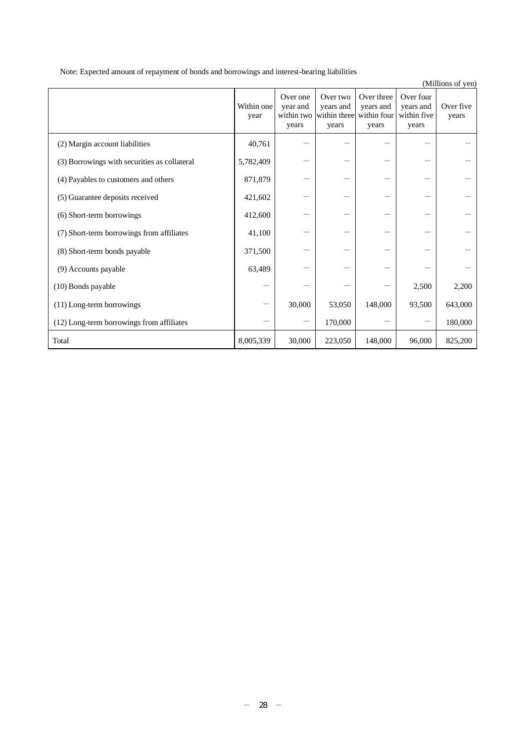Note: Expected amount of repayment of bonds and borrowings and interest-bearing liabilities

|                                              | Within one<br>year | Over one<br>year and<br>within two<br>years | Over two<br>years and<br>within three within four<br>years | Over three<br>years and<br>years | Over four<br>years and<br>within five<br>years | Over five<br>years |
|----------------------------------------------|--------------------|---------------------------------------------|------------------------------------------------------------|----------------------------------|------------------------------------------------|--------------------|
| (2) Margin account liabilities               | 40,761             |                                             |                                                            |                                  |                                                |                    |
| (3) Borrowings with securities as collateral | 5,782,409          |                                             |                                                            |                                  |                                                |                    |
| (4) Payables to customers and others         | 871,879            |                                             |                                                            |                                  |                                                |                    |
| (5) Guarantee deposits received              | 421,602            |                                             |                                                            |                                  |                                                |                    |
| (6) Short-term borrowings                    | 412,600            |                                             |                                                            |                                  |                                                |                    |
| (7) Short-term borrowings from affiliates    | 41,100             |                                             |                                                            |                                  |                                                |                    |
| (8) Short-term bonds payable                 | 371,500            |                                             |                                                            |                                  |                                                |                    |
| (9) Accounts payable                         | 63,489             |                                             |                                                            |                                  |                                                |                    |
| (10) Bonds payable                           |                    |                                             |                                                            |                                  | 2,500                                          | 2,200              |
| (11) Long-term borrowings                    |                    | 30,000                                      | 53,050                                                     | 148,000                          | 93,500                                         | 643,000            |
| (12) Long-term borrowings from affiliates    |                    |                                             | 170,000                                                    |                                  |                                                | 180,000            |
| Total                                        | 8,005,339          | 30,000                                      | 223,050                                                    | 148,000                          | 96,000                                         | 825,200            |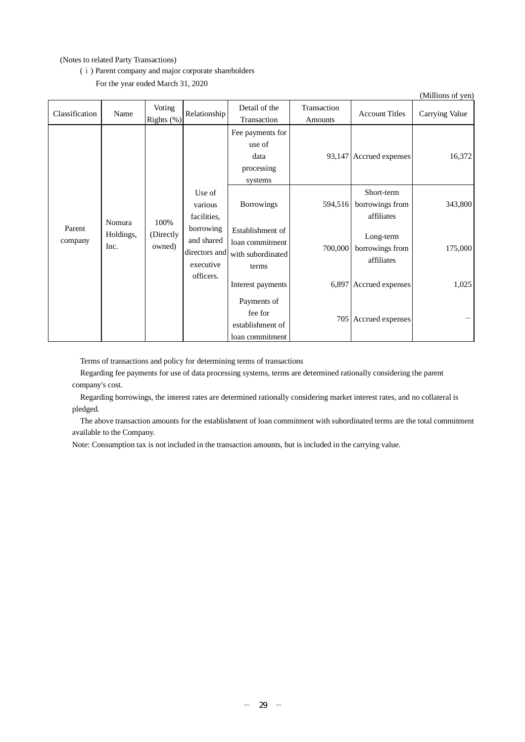### (Notes to related Party Transactions)

#### (ⅰ) Parent company and major corporate shareholders

For the year ended March 31, 2020

|                                     |           |                      |                                                             |                                                                   |                         |                                             | (Millions of yen) |
|-------------------------------------|-----------|----------------------|-------------------------------------------------------------|-------------------------------------------------------------------|-------------------------|---------------------------------------------|-------------------|
| Classification                      | Name      | Voting<br>Rights (%) | Relationship                                                | Detail of the<br>Transaction                                      | Transaction<br>Amounts  | <b>Account Titles</b>                       | Carrying Value    |
|                                     |           |                      | Fee payments for<br>use of<br>data<br>processing<br>systems |                                                                   | 93,147 Accrued expenses | 16,372                                      |                   |
|                                     |           | 100%                 | Use of<br>various<br>facilities,                            | <b>Borrowings</b>                                                 | 594,516                 | Short-term<br>borrowings from<br>affiliates | 343,800           |
| Nomura<br>Parent<br>company<br>Inc. | Holdings, | (Directly<br>owned)  | borrowing<br>and shared<br>directors and<br>executive       | Establishment of<br>loan commitment<br>with subordinated<br>terms | 700,000                 | Long-term<br>borrowings from<br>affiliates  | 175,000           |
|                                     |           |                      | officers.                                                   | Interest payments                                                 |                         | 6,897 Accrued expenses                      | 1,025             |
|                                     |           |                      |                                                             | Payments of<br>fee for<br>establishment of<br>loan commitment     |                         | 705 Accrued expenses                        |                   |

Terms of transactions and policy for determining terms of transactions

Regarding fee payments for use of data processing systems, terms are determined rationally considering the parent company's cost.

Regarding borrowings, the interest rates are determined rationally considering market interest rates, and no collateral is pledged.

The above transaction amounts for the establishment of loan commitment with subordinated terms are the total commitment available to the Company.

Note: Consumption tax is not included in the transaction amounts, but is included in the carrying value.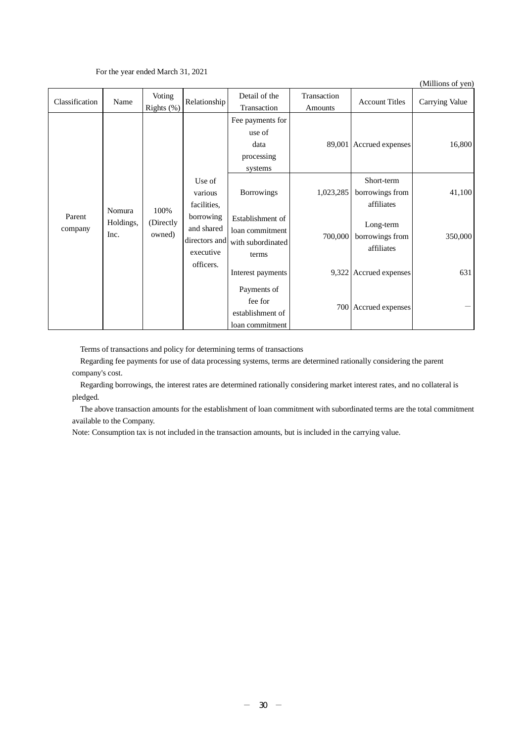#### For the year ended March 31, 2021

(Millions of yen)

| Classification    | Name              | Voting<br>Rights (%)                                                         | Relationship                                                      | Detail of the<br>Transaction                                  | Transaction<br>Amounts                     | <b>Account Titles</b>                       | Carrying Value |
|-------------------|-------------------|------------------------------------------------------------------------------|-------------------------------------------------------------------|---------------------------------------------------------------|--------------------------------------------|---------------------------------------------|----------------|
|                   |                   |                                                                              |                                                                   | Fee payments for<br>use of<br>data<br>processing<br>systems   |                                            | 89,001 Accrued expenses                     | 16,800         |
|                   | Nomura            | 100%                                                                         | Use of<br>various<br>facilities,                                  | <b>Borrowings</b>                                             | 1,023,285                                  | Short-term<br>borrowings from<br>affiliates | 41,100         |
| Parent<br>company | Holdings,<br>Inc. | borrowing<br>(Directly<br>and shared<br>owned)<br>directors and<br>executive | Establishment of<br>loan commitment<br>with subordinated<br>terms | 700,000                                                       | Long-term<br>borrowings from<br>affiliates | 350,000                                     |                |
|                   |                   |                                                                              | officers.                                                         | Interest payments                                             |                                            | 9,322 Accrued expenses                      | 631            |
|                   |                   |                                                                              |                                                                   | Payments of<br>fee for<br>establishment of<br>loan commitment |                                            | 700 Accrued expenses                        |                |

Terms of transactions and policy for determining terms of transactions

Regarding fee payments for use of data processing systems, terms are determined rationally considering the parent company's cost.

Regarding borrowings, the interest rates are determined rationally considering market interest rates, and no collateral is pledged.

The above transaction amounts for the establishment of loan commitment with subordinated terms are the total commitment available to the Company.

Note: Consumption tax is not included in the transaction amounts, but is included in the carrying value.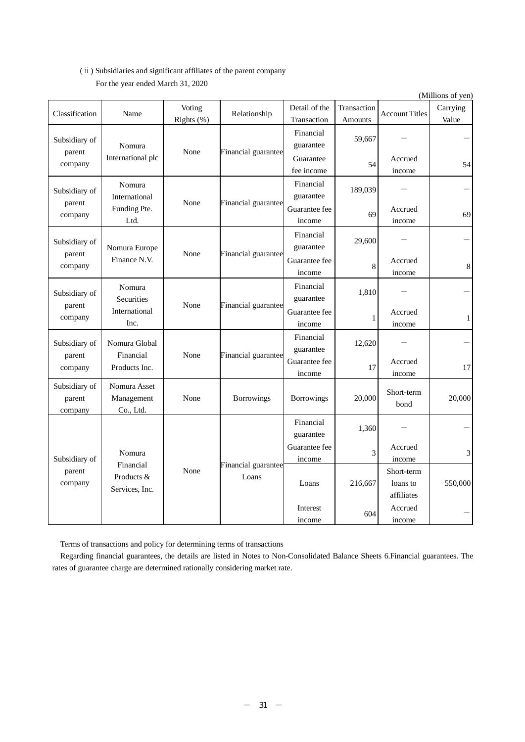# (ⅱ) Subsidiaries and significant affiliates of the parent company For the year ended March 31, 2020

|                                    |                                                                |                   |                              |                         |                   |                                      | (Millions of yen) |
|------------------------------------|----------------------------------------------------------------|-------------------|------------------------------|-------------------------|-------------------|--------------------------------------|-------------------|
| Classification                     | Name                                                           | Voting            | Relationship                 | Detail of the           | Transaction       | <b>Account Titles</b>                | Carrying          |
|                                    |                                                                | Rights (%)        |                              | Transaction             | Amounts           |                                      | Value             |
| Subsidiary of<br>parent            | Nomura                                                         | None              | Financial guarantee          | Financial<br>guarantee  | 59,667            |                                      |                   |
| company                            | International plc                                              |                   |                              | Guarantee<br>fee income | 54                | Accrued<br>income                    | 54                |
| Subsidiary of<br>parent            | Nomura<br>International                                        | None              | Financial guarantee          | Financial<br>guarantee  | 189,039           |                                      |                   |
| company                            | Funding Pte.<br>Ltd.                                           |                   |                              | Guarantee fee<br>income | 69                | Accrued<br>income                    | 69                |
| Subsidiary of                      | Nomura Europe                                                  |                   |                              | Financial<br>guarantee  | 29,600            |                                      |                   |
| parent<br>company                  | Finance N.V.                                                   | None              | Financial guarantee          | Guarantee fee<br>income | $\bf 8$           | Accrued<br>income                    | $\,8\,$           |
| Subsidiary of                      | Nomura<br>Securities                                           |                   |                              | Financial<br>guarantee  | 1,810             |                                      |                   |
| company                            | None<br>Financial guarantee<br>parent<br>International<br>Inc. |                   | Guarantee fee<br>income      | $\mathbf{1}$            | Accrued<br>income | $\mathbf{1}$                         |                   |
| Subsidiary of<br>parent            | Nomura Global<br>Financial                                     | None              | Financial guarantee          | Financial<br>guarantee  | 12,620            |                                      |                   |
| company                            | Products Inc.                                                  |                   |                              | Guarantee fee<br>income | 17                | Accrued<br>income                    | 17                |
| Subsidiary of<br>parent<br>company | Nomura Asset<br>Management<br>Co., Ltd.                        | None              | Borrowings                   | <b>Borrowings</b>       | 20,000            | Short-term<br>bond                   | 20,000            |
|                                    |                                                                |                   |                              | Financial<br>guarantee  | 1,360             |                                      |                   |
| Subsidiary of                      | Nomura                                                         |                   |                              | Guarantee fee<br>income | 3                 | Accrued<br>income                    | 3                 |
| parent<br>company                  | Products &<br>Services, Inc.                                   | Financial<br>None | Financial guarantee<br>Loans | Loans                   | 216,667           | Short-term<br>loans to<br>affiliates | 550,000           |
|                                    |                                                                |                   |                              | Interest<br>income      | 604               | Accrued<br>income                    |                   |

Terms of transactions and policy for determining terms of transactions

Regarding financial guarantees, the details are listed in Notes to Non-Consolidated Balance Sheets 6.Financial guarantees. The rates of guarantee charge are determined rationally considering market rate.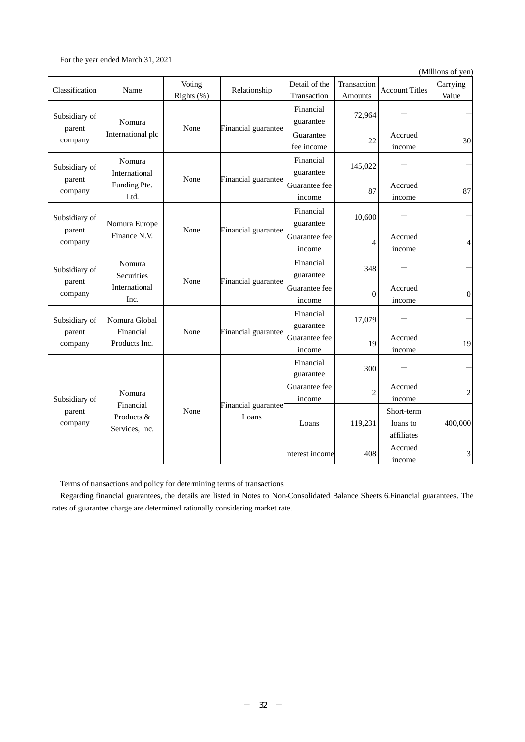For the year ended March 31, 2021

(Millions of yen)

| Classification                            | Name                                              | Voting<br>Rights (%)    | Relationship                 | Detail of the<br>Transaction | Transaction<br>Amounts | <b>Account Titles</b>                | Carrying<br>Value |
|-------------------------------------------|---------------------------------------------------|-------------------------|------------------------------|------------------------------|------------------------|--------------------------------------|-------------------|
| Subsidiary of                             | Nomura                                            | None                    |                              | Financial<br>guarantee       | 72,964                 |                                      |                   |
| parent<br>company                         | International plc                                 |                         | Financial guarantee          | Guarantee<br>fee income      | 22                     | Accrued<br>income                    | 30                |
| Subsidiary of                             | Nomura<br>International                           | None                    | Financial guarantee          | Financial<br>guarantee       | 145,022                |                                      |                   |
| parent<br>company                         | Funding Pte.<br>Ltd.                              |                         |                              | Guarantee fee<br>income      | 87                     | Accrued<br>income                    | 87                |
| Subsidiary of                             | Nomura Europe                                     |                         |                              | Financial<br>guarantee       | 10,600                 |                                      |                   |
| None<br>parent<br>Finance N.V.<br>company | Financial guarantee                               | Guarantee fee<br>income | $\overline{4}$               | Accrued<br>income            | 4                      |                                      |                   |
| Subsidiary of                             | Nomura<br>Securities                              |                         |                              | Financial<br>guarantee       | 348                    |                                      |                   |
| parent<br>company                         | International<br>Inc.                             | None                    | Financial guarantee          | Guarantee fee<br>income      | $\theta$               | Accrued<br>income                    | $\theta$          |
| Subsidiary of                             | Nomura Global<br>Financial                        |                         |                              | Financial<br>guarantee       | 17,079                 |                                      |                   |
| parent<br>company                         | Products Inc.                                     | None                    | Financial guarantee          | Guarantee fee<br>income      | 19                     | Accrued<br>income                    | 19                |
|                                           |                                                   |                         |                              | Financial<br>guarantee       | 300                    |                                      |                   |
| Subsidiary of                             | Nomura                                            |                         |                              | Guarantee fee<br>income      | $\overline{c}$         | Accrued<br>income                    | $\overline{c}$    |
| parent<br>company                         | Financial<br>None<br>Products &<br>Services, Inc. |                         | Financial guarantee<br>Loans | Loans                        | 119,231                | Short-term<br>loans to<br>affiliates | 400,000           |
|                                           |                                                   |                         |                              | Interest income              | 408                    | Accrued<br>income                    | 3                 |

Terms of transactions and policy for determining terms of transactions

Regarding financial guarantees, the details are listed in Notes to Non-Consolidated Balance Sheets 6.Financial guarantees. The rates of guarantee charge are determined rationally considering market rate.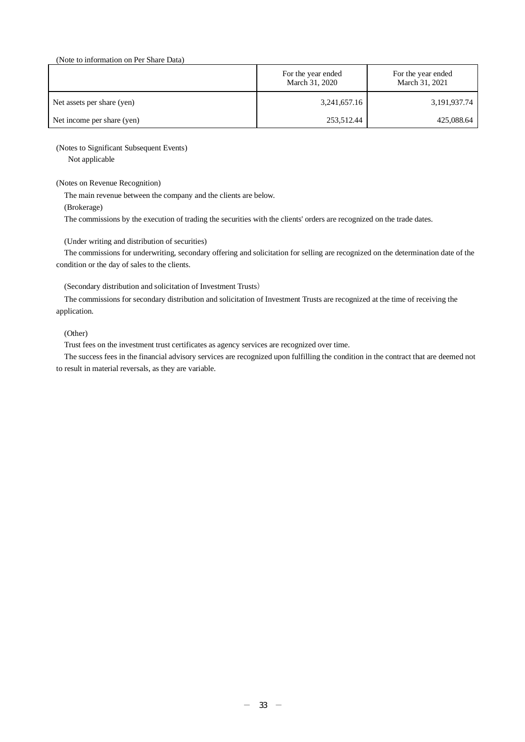#### (Note to information on Per Share Data)

|                            | For the year ended<br>March 31, 2020 | For the year ended<br>March 31, 2021 |
|----------------------------|--------------------------------------|--------------------------------------|
| Net assets per share (yen) | 3,241,657.16                         | 3,191,937.74                         |
| Net income per share (yen) | 253,512.44                           | 425,088.64                           |

#### (Notes to Significant Subsequent Events)

Not applicable

#### (Notes on Revenue Recognition)

The main revenue between the company and the clients are below.

(Brokerage)

The commissions by the execution of trading the securities with the clients' orders are recognized on the trade dates.

#### (Under writing and distribution of securities)

The commissions for underwriting, secondary offering and solicitation for selling are recognized on the determination date of the condition or the day of sales to the clients.

#### (Secondary distribution and solicitation of Investment Trusts)

The commissions for secondary distribution and solicitation of Investment Trusts are recognized at the time of receiving the application.

#### (Other)

Trust fees on the investment trust certificates as agency services are recognized over time.

The success fees in the financial advisory services are recognized upon fulfilling the condition in the contract that are deemed not to result in material reversals, as they are variable.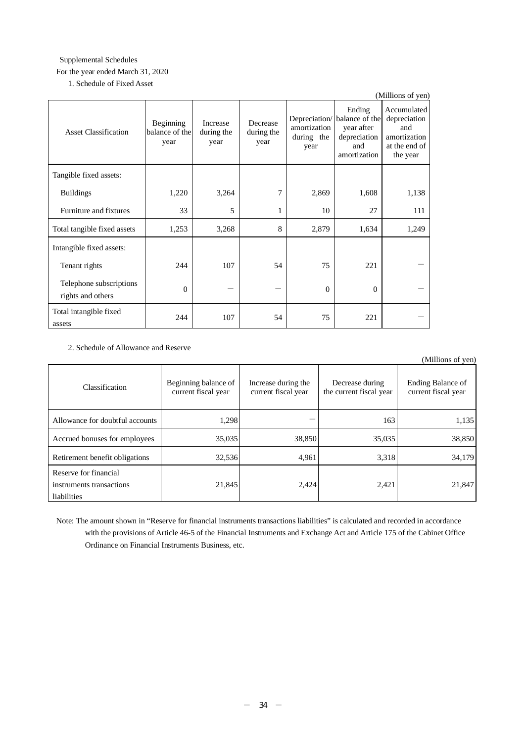# Supplemental Schedules For the year ended March 31, 2020

1. Schedule of Fixed Asset

|                                              |                                     |                                       |                                |                                    |                                                                                             | (Millions of yen)                                                               |
|----------------------------------------------|-------------------------------------|---------------------------------------|--------------------------------|------------------------------------|---------------------------------------------------------------------------------------------|---------------------------------------------------------------------------------|
| <b>Asset Classification</b>                  | Beginning<br>balance of the<br>year | <b>Increase</b><br>during the<br>year | Decrease<br>during the<br>year | amortization<br>during the<br>year | Ending<br>Depreciation/ balance of the<br>year after<br>depreciation<br>and<br>amortization | Accumulated<br>depreciation<br>and<br>amortization<br>at the end of<br>the year |
| Tangible fixed assets:                       |                                     |                                       |                                |                                    |                                                                                             |                                                                                 |
| <b>Buildings</b>                             | 1,220                               | 3,264                                 | 7                              | 2,869                              | 1,608                                                                                       | 1,138                                                                           |
| Furniture and fixtures                       | 33                                  | 5                                     | 1                              | 10                                 | 27                                                                                          | 111                                                                             |
| Total tangible fixed assets                  | 1,253                               | 3,268                                 | 8                              | 2,879                              | 1,634                                                                                       | 1,249                                                                           |
| Intangible fixed assets:                     |                                     |                                       |                                |                                    |                                                                                             |                                                                                 |
| Tenant rights                                | 244                                 | 107                                   | 54                             | 75                                 | 221                                                                                         |                                                                                 |
| Telephone subscriptions<br>rights and others | $\Omega$                            |                                       |                                | $\Omega$                           | $\theta$                                                                                    |                                                                                 |
| Total intangible fixed<br>assets             | 244                                 | 107                                   | 54                             | 75                                 | 221                                                                                         |                                                                                 |

# 2. Schedule of Allowance and Reserve

|                                                                  |                                             |                                            |                                            | (Millions of yen)                        |
|------------------------------------------------------------------|---------------------------------------------|--------------------------------------------|--------------------------------------------|------------------------------------------|
| Classification                                                   | Beginning balance of<br>current fiscal year | Increase during the<br>current fiscal year | Decrease during<br>the current fiscal year | Ending Balance of<br>current fiscal year |
| Allowance for doubtful accounts                                  | 1,298                                       |                                            | 163                                        | 1,135                                    |
| Accrued bonuses for employees                                    | 35,035                                      | 38,850                                     | 35,035                                     | 38,850                                   |
| Retirement benefit obligations                                   | 32,536                                      | 4,961                                      | 3,318                                      | 34,179                                   |
| Reserve for financial<br>instruments transactions<br>liabilities | 21,845                                      | 2,424                                      | 2,421                                      | 21,847                                   |

Note: The amount shown in "Reserve for financial instruments transactions liabilities" is calculated and recorded in accordance with the provisions of Article 46-5 of the Financial Instruments and Exchange Act and Article 175 of the Cabinet Office Ordinance on Financial Instruments Business, etc.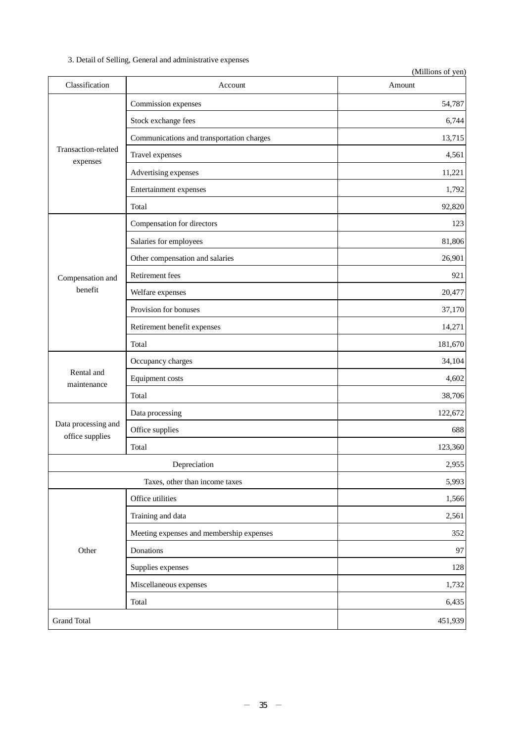# 3. Detail of Selling, General and administrative expenses

|                                        |                                           | (Millions of yen) |
|----------------------------------------|-------------------------------------------|-------------------|
| Classification                         | Account                                   | Amount            |
|                                        | Commission expenses                       | 54,787            |
|                                        | Stock exchange fees                       | 6,744             |
|                                        | Communications and transportation charges | 13,715            |
| Transaction-related<br>expenses        | Travel expenses                           | 4,561             |
|                                        | Advertising expenses                      | 11,221            |
|                                        | Entertainment expenses                    | 1,792             |
|                                        | Total                                     | 92,820            |
|                                        | Compensation for directors                | 123               |
|                                        | Salaries for employees                    | 81,806            |
|                                        | Other compensation and salaries           | 26,901            |
| Compensation and                       | Retirement fees                           | 921               |
| benefit                                | Welfare expenses                          | 20,477            |
|                                        | Provision for bonuses                     | 37,170            |
|                                        | Retirement benefit expenses               | 14,271            |
|                                        | Total                                     | 181,670           |
|                                        | Occupancy charges                         | 34,104            |
| Rental and<br>maintenance              | Equipment costs                           | 4,602             |
|                                        | Total                                     | 38,706            |
|                                        | Data processing                           | 122,672           |
| Data processing and<br>office supplies | Office supplies                           | 688               |
|                                        | Total                                     | 123,360           |
|                                        | Depreciation                              | 2,955             |
|                                        | Taxes, other than income taxes            | 5,993             |
|                                        | Office utilities                          | 1,566             |
|                                        | Training and data                         | 2,561             |
|                                        | Meeting expenses and membership expenses  | 352               |
| Other                                  | Donations                                 | 97                |
|                                        | Supplies expenses                         | 128               |
|                                        | Miscellaneous expenses                    | 1,732             |
|                                        | Total                                     | 6,435             |
| <b>Grand Total</b>                     |                                           | 451,939           |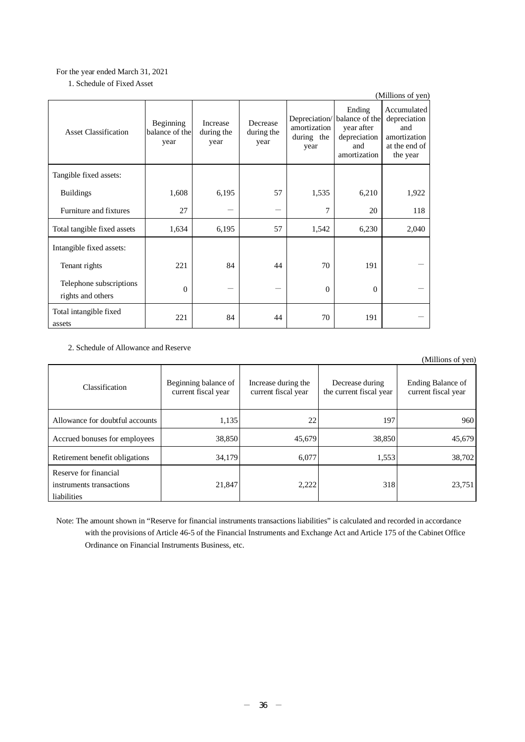# For the year ended March 31, 2021

| 1. Schedule of Fixed Asset |
|----------------------------|
|----------------------------|

|                                              |                                     |                                       |                                |                                    |                                                                                             | (Millions of yen)                                                               |
|----------------------------------------------|-------------------------------------|---------------------------------------|--------------------------------|------------------------------------|---------------------------------------------------------------------------------------------|---------------------------------------------------------------------------------|
| <b>Asset Classification</b>                  | Beginning<br>balance of the<br>year | <b>Increase</b><br>during the<br>year | Decrease<br>during the<br>year | amortization<br>during the<br>year | Ending<br>Depreciation/ balance of the<br>year after<br>depreciation<br>and<br>amortization | Accumulated<br>depreciation<br>and<br>amortization<br>at the end of<br>the year |
| Tangible fixed assets:                       |                                     |                                       |                                |                                    |                                                                                             |                                                                                 |
| <b>Buildings</b>                             | 1,608                               | 6,195                                 | 57                             | 1,535                              | 6,210                                                                                       | 1,922                                                                           |
| Furniture and fixtures                       | 27                                  |                                       |                                | 7                                  | 20                                                                                          | 118                                                                             |
| Total tangible fixed assets                  | 1,634                               | 6,195                                 | 57                             | 1,542                              | 6,230                                                                                       | 2,040                                                                           |
| Intangible fixed assets:                     |                                     |                                       |                                |                                    |                                                                                             |                                                                                 |
| Tenant rights                                | 221                                 | 84                                    | 44                             | 70                                 | 191                                                                                         |                                                                                 |
| Telephone subscriptions<br>rights and others | $\Omega$                            |                                       |                                | $\Omega$                           | $\Omega$                                                                                    |                                                                                 |
| Total intangible fixed<br>assets             | 221                                 | 84                                    | 44                             | 70                                 | 191                                                                                         |                                                                                 |

# 2. Schedule of Allowance and Reserve

|                                                                  |                                             |                                            |                                            | (Millions of yen)                        |
|------------------------------------------------------------------|---------------------------------------------|--------------------------------------------|--------------------------------------------|------------------------------------------|
| Classification                                                   | Beginning balance of<br>current fiscal year | Increase during the<br>current fiscal year | Decrease during<br>the current fiscal year | Ending Balance of<br>current fiscal year |
| Allowance for doubtful accounts                                  | 1,135                                       | 22                                         | 197                                        | 960                                      |
| Accrued bonuses for employees                                    | 38,850                                      | 45,679                                     | 38,850                                     | 45,679                                   |
| Retirement benefit obligations                                   | 34,179                                      | 6,077                                      | 1,553                                      | 38,702                                   |
| Reserve for financial<br>instruments transactions<br>liabilities | 21,847                                      | 2,222                                      | 318                                        | 23,751                                   |

Note: The amount shown in "Reserve for financial instruments transactions liabilities" is calculated and recorded in accordance with the provisions of Article 46-5 of the Financial Instruments and Exchange Act and Article 175 of the Cabinet Office Ordinance on Financial Instruments Business, etc.